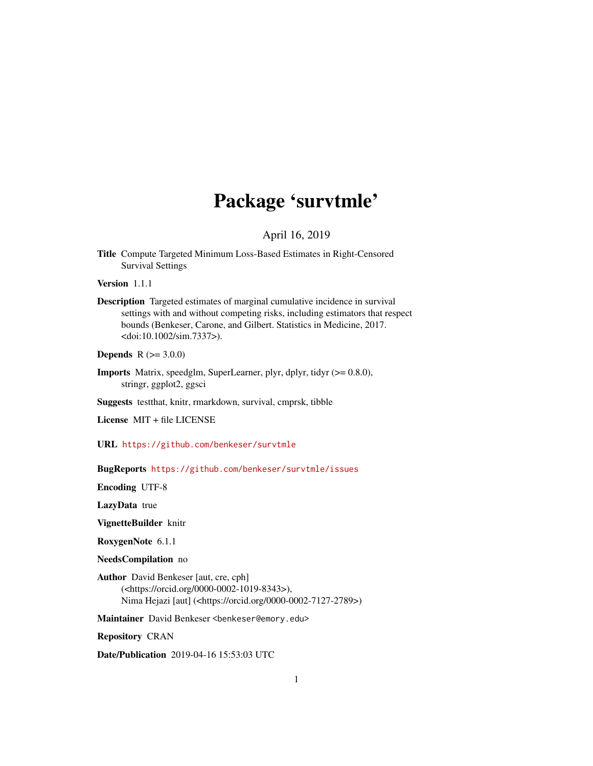# Package 'survtmle'

#### April 16, 2019

Title Compute Targeted Minimum Loss-Based Estimates in Right-Censored Survival Settings

Version 1.1.1

Description Targeted estimates of marginal cumulative incidence in survival settings with and without competing risks, including estimators that respect bounds (Benkeser, Carone, and Gilbert. Statistics in Medicine, 2017. <doi:10.1002/sim.7337>).

**Depends**  $R (= 3.0.0)$ 

Imports Matrix, speedglm, SuperLearner, plyr, dplyr, tidyr (>= 0.8.0), stringr, ggplot2, ggsci

Suggests testthat, knitr, rmarkdown, survival, cmprsk, tibble

License MIT + file LICENSE

URL <https://github.com/benkeser/survtmle>

BugReports <https://github.com/benkeser/survtmle/issues>

Encoding UTF-8

LazyData true

VignetteBuilder knitr

RoxygenNote 6.1.1

NeedsCompilation no

Author David Benkeser [aut, cre, cph] (<https://orcid.org/0000-0002-1019-8343>), Nima Hejazi [aut] (<https://orcid.org/0000-0002-7127-2789>)

Maintainer David Benkeser <benkeser@emory.edu>

Repository CRAN

Date/Publication 2019-04-16 15:53:03 UTC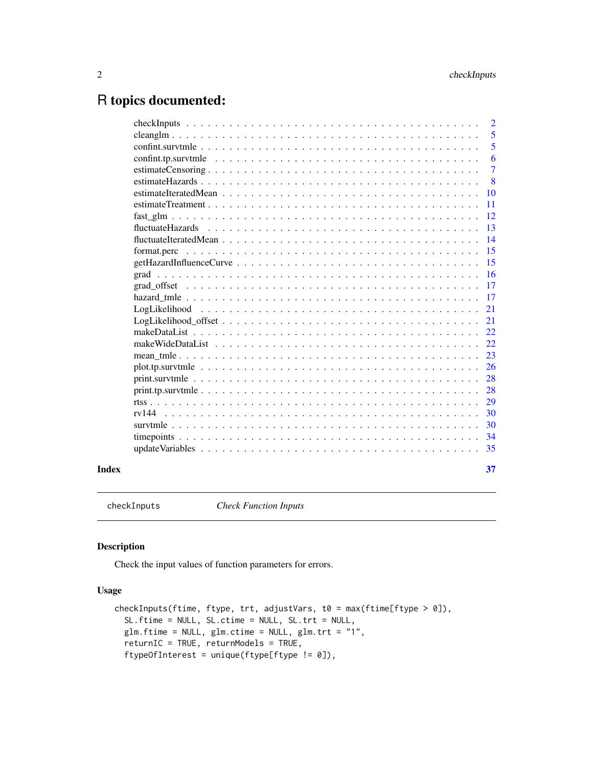## <span id="page-1-0"></span>R topics documented:

|       |                  | $\overline{2}$ |
|-------|------------------|----------------|
|       |                  | 5              |
|       |                  | 5              |
|       |                  | 6              |
|       |                  | 7              |
|       |                  | 8              |
|       |                  | 10             |
|       |                  | 11             |
|       |                  | 12             |
|       | fluctuateHazards | 13             |
|       |                  | 14             |
|       | format.perc      | 15             |
|       |                  | 15             |
|       |                  | 16             |
|       |                  | 17             |
|       |                  | 17             |
|       |                  | 21             |
|       |                  | 21             |
|       |                  | 22             |
|       |                  | 22             |
|       |                  | 23             |
|       |                  | 26             |
|       |                  | 28             |
|       |                  | 28             |
|       |                  | 29             |
|       | rv144            | 30             |
|       |                  | 30             |
|       |                  | 34             |
|       |                  | 35             |
|       |                  |                |
| Index |                  | 37             |

checkInputs *Check Function Inputs*

#### Description

Check the input values of function parameters for errors.

#### Usage

```
checkInputs(ftime, ftype, trt, adjustVars, t0 = max(ftime[ftype > 0]),
 SL.ftime = NULL, SL.ctime = NULL, SL.trt = NULL,
 glm.ftime = NULL, glm.ctime = NULL, glm.trt = "1",
  returnIC = TRUE, returnModels = TRUE,
  ftypeOfInterest = unique(ftype[ftype != 0]),
```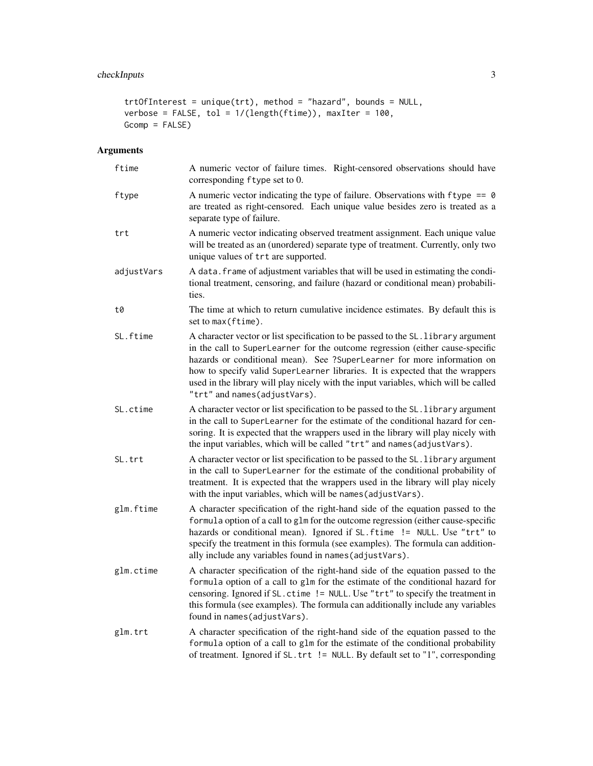#### checkInputs 3

```
trtOfInterest = unique(trt), method = "hazard", bounds = NULL,
verbose = FALSE, tol = 1/(length(ftime)), maxIter = 100,
Gcomp = FALSE)
```

| ftime      | A numeric vector of failure times. Right-censored observations should have<br>corresponding ftype set to 0.                                                                                                                                                                                                                                                                                                                                           |
|------------|-------------------------------------------------------------------------------------------------------------------------------------------------------------------------------------------------------------------------------------------------------------------------------------------------------------------------------------------------------------------------------------------------------------------------------------------------------|
| ftype      | A numeric vector indicating the type of failure. Observations with $ftype = 0$<br>are treated as right-censored. Each unique value besides zero is treated as a<br>separate type of failure.                                                                                                                                                                                                                                                          |
| trt        | A numeric vector indicating observed treatment assignment. Each unique value<br>will be treated as an (unordered) separate type of treatment. Currently, only two<br>unique values of trt are supported.                                                                                                                                                                                                                                              |
| adjustVars | A data. frame of adjustment variables that will be used in estimating the condi-<br>tional treatment, censoring, and failure (hazard or conditional mean) probabili-<br>ties.                                                                                                                                                                                                                                                                         |
| t0         | The time at which to return cumulative incidence estimates. By default this is<br>set to max (ftime).                                                                                                                                                                                                                                                                                                                                                 |
| SL.ftime   | A character vector or list specification to be passed to the SL. library argument<br>in the call to SuperLearner for the outcome regression (either cause-specific<br>hazards or conditional mean). See ?SuperLearner for more information on<br>how to specify valid SuperLearner libraries. It is expected that the wrappers<br>used in the library will play nicely with the input variables, which will be called<br>"trt" and names(adjustVars). |
| SL.ctime   | A character vector or list specification to be passed to the SL. library argument<br>in the call to SuperLearner for the estimate of the conditional hazard for cen-<br>soring. It is expected that the wrappers used in the library will play nicely with<br>the input variables, which will be called "trt" and names (adjustVars).                                                                                                                 |
| SL.trt     | A character vector or list specification to be passed to the SL. library argument<br>in the call to SuperLearner for the estimate of the conditional probability of<br>treatment. It is expected that the wrappers used in the library will play nicely<br>with the input variables, which will be names (adjustVars).                                                                                                                                |
| glm.ftime  | A character specification of the right-hand side of the equation passed to the<br>formula option of a call to glm for the outcome regression (either cause-specific<br>hazards or conditional mean). Ignored if SL. ftime != NULL. Use "trt" to<br>specify the treatment in this formula (see examples). The formula can addition-<br>ally include any variables found in names (adjustVars).                                                         |
| glm.ctime  | A character specification of the right-hand side of the equation passed to the<br>formula option of a call to glm for the estimate of the conditional hazard for<br>censoring. Ignored if SL. ctime != NULL. Use "trt" to specify the treatment in<br>this formula (see examples). The formula can additionally include any variables<br>found in names(adjustVars).                                                                                  |
| glm.trt    | A character specification of the right-hand side of the equation passed to the<br>formula option of a call to glm for the estimate of the conditional probability<br>of treatment. Ignored if SL.trt != NULL. By default set to "1", corresponding                                                                                                                                                                                                    |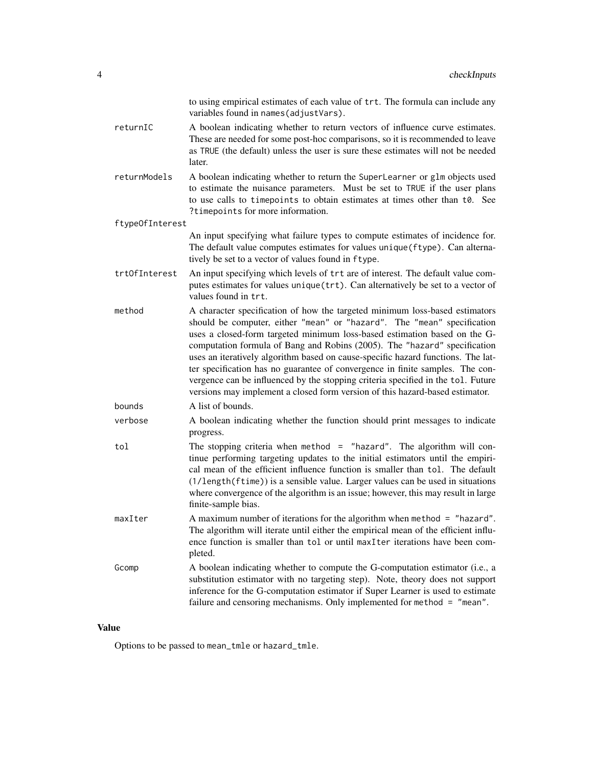|                 | to using empirical estimates of each value of trt. The formula can include any<br>variables found in names (adjustVars).                                                                                                                                                                                                                                                                                                                                                                                                                                                                                                                                  |
|-----------------|-----------------------------------------------------------------------------------------------------------------------------------------------------------------------------------------------------------------------------------------------------------------------------------------------------------------------------------------------------------------------------------------------------------------------------------------------------------------------------------------------------------------------------------------------------------------------------------------------------------------------------------------------------------|
| returnIC        | A boolean indicating whether to return vectors of influence curve estimates.<br>These are needed for some post-hoc comparisons, so it is recommended to leave<br>as TRUE (the default) unless the user is sure these estimates will not be needed<br>later.                                                                                                                                                                                                                                                                                                                                                                                               |
| returnModels    | A boolean indicating whether to return the SuperLearner or glm objects used<br>to estimate the nuisance parameters. Must be set to TRUE if the user plans<br>to use calls to timepoints to obtain estimates at times other than t0. See<br>?timepoints for more information.                                                                                                                                                                                                                                                                                                                                                                              |
| ftype0fInterest |                                                                                                                                                                                                                                                                                                                                                                                                                                                                                                                                                                                                                                                           |
|                 | An input specifying what failure types to compute estimates of incidence for.<br>The default value computes estimates for values unique (ftype). Can alterna-<br>tively be set to a vector of values found in ftype.                                                                                                                                                                                                                                                                                                                                                                                                                                      |
| trt0fInterest   | An input specifying which levels of trt are of interest. The default value com-<br>putes estimates for values unique (trt). Can alternatively be set to a vector of<br>values found in trt.                                                                                                                                                                                                                                                                                                                                                                                                                                                               |
| method          | A character specification of how the targeted minimum loss-based estimators<br>should be computer, either "mean" or "hazard". The "mean" specification<br>uses a closed-form targeted minimum loss-based estimation based on the G-<br>computation formula of Bang and Robins (2005). The "hazard" specification<br>uses an iteratively algorithm based on cause-specific hazard functions. The lat-<br>ter specification has no guarantee of convergence in finite samples. The con-<br>vergence can be influenced by the stopping criteria specified in the tol. Future<br>versions may implement a closed form version of this hazard-based estimator. |
| bounds          | A list of bounds.                                                                                                                                                                                                                                                                                                                                                                                                                                                                                                                                                                                                                                         |
| verbose         | A boolean indicating whether the function should print messages to indicate<br>progress.                                                                                                                                                                                                                                                                                                                                                                                                                                                                                                                                                                  |
| tol             | The stopping criteria when method $=$ "hazard". The algorithm will con-<br>tinue performing targeting updates to the initial estimators until the empiri-<br>cal mean of the efficient influence function is smaller than tol. The default<br>(1/length(ftime)) is a sensible value. Larger values can be used in situations<br>where convergence of the algorithm is an issue; however, this may result in large<br>finite-sample bias.                                                                                                                                                                                                                  |
| maxIter         | A maximum number of iterations for the algorithm when method $=$ "hazard".<br>The algorithm will iterate until either the empirical mean of the efficient influ-<br>ence function is smaller than tol or until maxIter iterations have been com-<br>pleted.                                                                                                                                                                                                                                                                                                                                                                                               |
| Gcomp           | A boolean indicating whether to compute the G-computation estimator (i.e., a<br>substitution estimator with no targeting step). Note, theory does not support<br>inference for the G-computation estimator if Super Learner is used to estimate<br>failure and censoring mechanisms. Only implemented for method = "mean".                                                                                                                                                                                                                                                                                                                                |

Options to be passed to mean\_tmle or hazard\_tmle.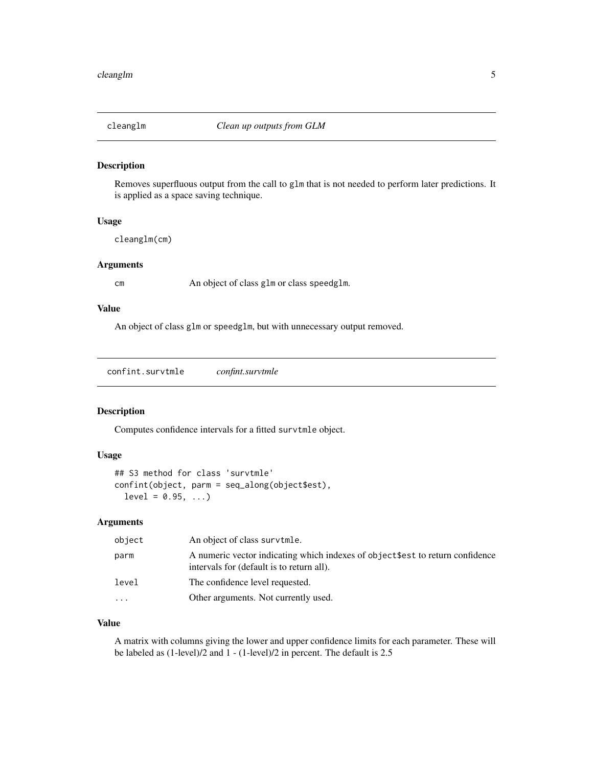<span id="page-4-0"></span>

#### Description

Removes superfluous output from the call to glm that is not needed to perform later predictions. It is applied as a space saving technique.

#### Usage

cleanglm(cm)

#### **Arguments**

cm An object of class glm or class speedglm.

#### Value

An object of class glm or speedglm, but with unnecessary output removed.

confint.survtmle *confint.survtmle*

#### Description

Computes confidence intervals for a fitted survtmle object.

#### Usage

```
## S3 method for class 'survtmle'
confint(object, parm = seq_along(object$est),
  level = 0.95, ...
```
#### Arguments

| object    | An object of class survtmle.                                                                                                |
|-----------|-----------------------------------------------------------------------------------------------------------------------------|
| parm      | A numeric vector indicating which indexes of object \$est to return confidence<br>intervals for (default is to return all). |
| level     | The confidence level requested.                                                                                             |
| $\ddotsc$ | Other arguments. Not currently used.                                                                                        |

#### Value

A matrix with columns giving the lower and upper confidence limits for each parameter. These will be labeled as (1-level)/2 and 1 - (1-level)/2 in percent. The default is 2.5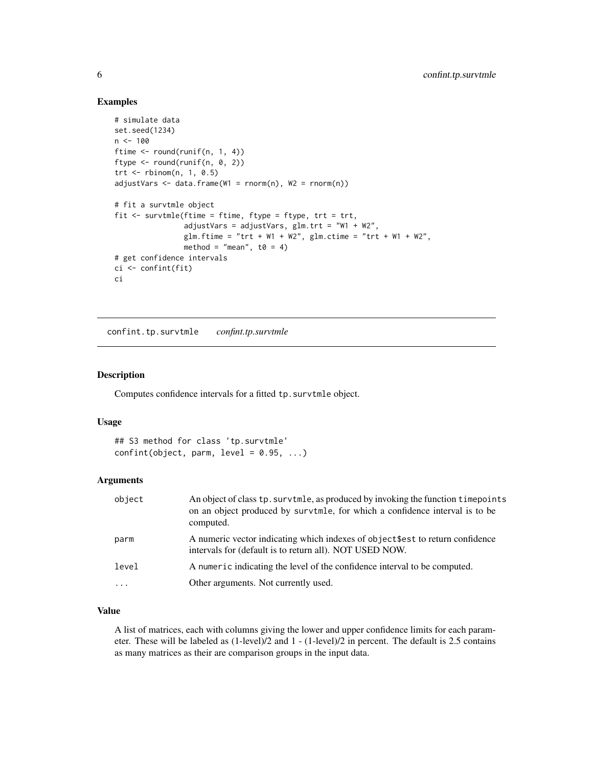#### Examples

```
# simulate data
set.seed(1234)
n < - 100ftime <- round(runif(n, 1, 4))
ftype <- round(runif(n, 0, 2))
trt <- rbinom(n, 1, 0.5)
adjustVars < - data frame(W1 = rnorm(n), W2 = rnorm(n))# fit a survtmle object
fit <- survtmle(ftime = ftime, ftype = ftype, trt = trt,
                adjustVars = adjustVars, glm.trt = "W1 + W2",
                glm.ftime = "trt + W1 + W2", glm.ctime = "trt + W1 + W2",
                method = "mean", t0 = 4)
# get confidence intervals
ci <- confint(fit)
ci
```
confint.tp.survtmle *confint.tp.survtmle*

#### Description

Computes confidence intervals for a fitted tp. survtmle object.

#### Usage

## S3 method for class 'tp.survtmle'  $confint(object, parm, level = 0.95, ...)$ 

#### Arguments

| object   | An object of class tp. survtmle, as produced by invoking the function timepoints<br>on an object produced by survtmle, for which a confidence interval is to be<br>computed. |
|----------|------------------------------------------------------------------------------------------------------------------------------------------------------------------------------|
| parm     | A numeric vector indicating which indexes of object \$est to return confidence<br>intervals for (default is to return all). NOT USED NOW.                                    |
| level    | A numeric indicating the level of the confidence interval to be computed.                                                                                                    |
| $\cdots$ | Other arguments. Not currently used.                                                                                                                                         |

#### Value

A list of matrices, each with columns giving the lower and upper confidence limits for each parameter. These will be labeled as (1-level)/2 and 1 - (1-level)/2 in percent. The default is 2.5 contains as many matrices as their are comparison groups in the input data.

<span id="page-5-0"></span>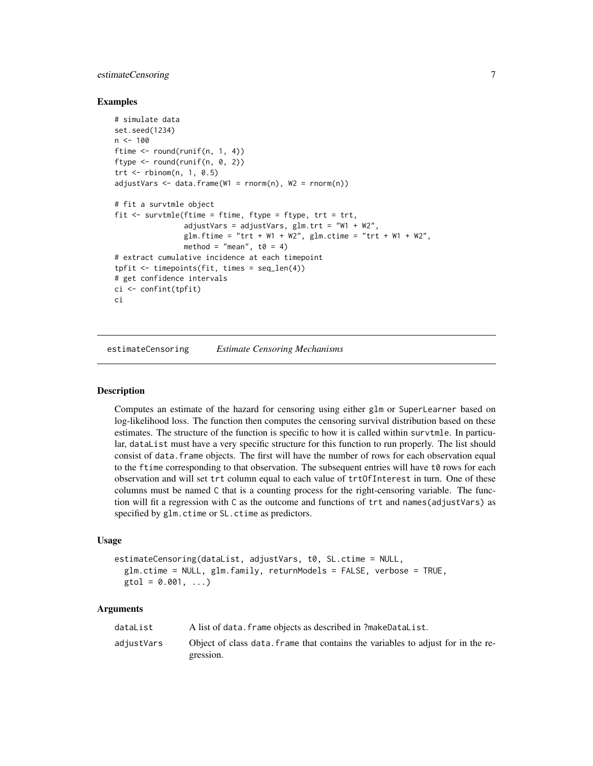#### <span id="page-6-0"></span>estimateCensoring 7

#### Examples

```
# simulate data
set.seed(1234)
n < -100ftime <- round(runif(n, 1, 4))
ftype <- round(runif(n, 0, 2))
trt <- rbinom(n, 1, 0.5)
adjustVars < - data frame(W1 = rnorm(n), W2 = rnorm(n))# fit a survtmle object
fit \le survtmle(ftime = ftime, ftype = ftype, trt = trt,
                adjustVars = adjustVars, glm.trt = "W1 + W2",
                glm.ftime = "trt + W1 + W2", glm.ctime = "trt + W1 + W2",
                method = "mean", t0 = 4)
# extract cumulative incidence at each timepoint
tfit \leftarrow timepoints(fit, times = seq_length(4))# get confidence intervals
ci <- confint(tpfit)
ci
```
estimateCensoring *Estimate Censoring Mechanisms*

#### Description

Computes an estimate of the hazard for censoring using either glm or SuperLearner based on log-likelihood loss. The function then computes the censoring survival distribution based on these estimates. The structure of the function is specific to how it is called within survtmle. In particular, dataList must have a very specific structure for this function to run properly. The list should consist of data.frame objects. The first will have the number of rows for each observation equal to the ftime corresponding to that observation. The subsequent entries will have t0 rows for each observation and will set trt column equal to each value of trtOfInterest in turn. One of these columns must be named C that is a counting process for the right-censoring variable. The function will fit a regression with C as the outcome and functions of trt and names(adjustVars) as specified by glm.ctime or SL.ctime as predictors.

#### Usage

```
estimateCensoring(dataList, adjustVars, t0, SL.ctime = NULL,
  glm.ctime = NULL, glm.family, returnModels = FALSE, verbose = TRUE,
  gtol = 0.001, ...
```

| dataList   | A list of data. frame objects as described in ?makeDataList.                     |
|------------|----------------------------------------------------------------------------------|
| adjustVars | Object of class data, frame that contains the variables to adjust for in the re- |
|            | gression.                                                                        |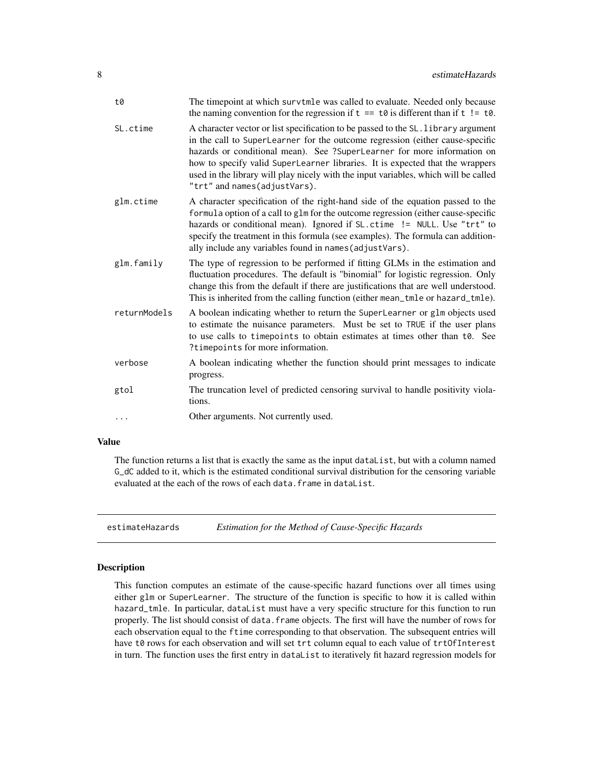<span id="page-7-0"></span>

| t0           | The timepoint at which survtmle was called to evaluate. Needed only because<br>the naming convention for the regression if $t = t0$ is different than if $t = t0$ .                                                                                                                                                                                                                                                                                   |
|--------------|-------------------------------------------------------------------------------------------------------------------------------------------------------------------------------------------------------------------------------------------------------------------------------------------------------------------------------------------------------------------------------------------------------------------------------------------------------|
| SL.ctime     | A character vector or list specification to be passed to the SL. library argument<br>in the call to SuperLearner for the outcome regression (either cause-specific<br>hazards or conditional mean). See ?SuperLearner for more information on<br>how to specify valid SuperLearner libraries. It is expected that the wrappers<br>used in the library will play nicely with the input variables, which will be called<br>"trt" and names(adjustVars). |
| glm.ctime    | A character specification of the right-hand side of the equation passed to the<br>formula option of a call to glm for the outcome regression (either cause-specific<br>hazards or conditional mean). Ignored if SL.ctime != NULL. Use "trt" to<br>specify the treatment in this formula (see examples). The formula can addition-<br>ally include any variables found in names (adjustVars).                                                          |
| glm.family   | The type of regression to be performed if fitting GLMs in the estimation and<br>fluctuation procedures. The default is "binomial" for logistic regression. Only<br>change this from the default if there are justifications that are well understood.<br>This is inherited from the calling function (either mean_tmle or hazard_tmle).                                                                                                               |
| returnModels | A boolean indicating whether to return the SuperLearner or glm objects used<br>to estimate the nuisance parameters. Must be set to TRUE if the user plans<br>to use calls to timepoints to obtain estimates at times other than t0. See<br>?timepoints for more information.                                                                                                                                                                          |
| verbose      | A boolean indicating whether the function should print messages to indicate<br>progress.                                                                                                                                                                                                                                                                                                                                                              |
| gtol         | The truncation level of predicted censoring survival to handle positivity viola-<br>tions.                                                                                                                                                                                                                                                                                                                                                            |
| .            | Other arguments. Not currently used.                                                                                                                                                                                                                                                                                                                                                                                                                  |

The function returns a list that is exactly the same as the input dataList, but with a column named G\_dC added to it, which is the estimated conditional survival distribution for the censoring variable evaluated at the each of the rows of each data.frame in dataList.

estimateHazards *Estimation for the Method of Cause-Specific Hazards*

#### Description

This function computes an estimate of the cause-specific hazard functions over all times using either glm or SuperLearner. The structure of the function is specific to how it is called within hazard\_tmle. In particular, dataList must have a very specific structure for this function to run properly. The list should consist of data. frame objects. The first will have the number of rows for each observation equal to the ftime corresponding to that observation. The subsequent entries will have t0 rows for each observation and will set trt column equal to each value of trt0fInterest in turn. The function uses the first entry in dataList to iteratively fit hazard regression models for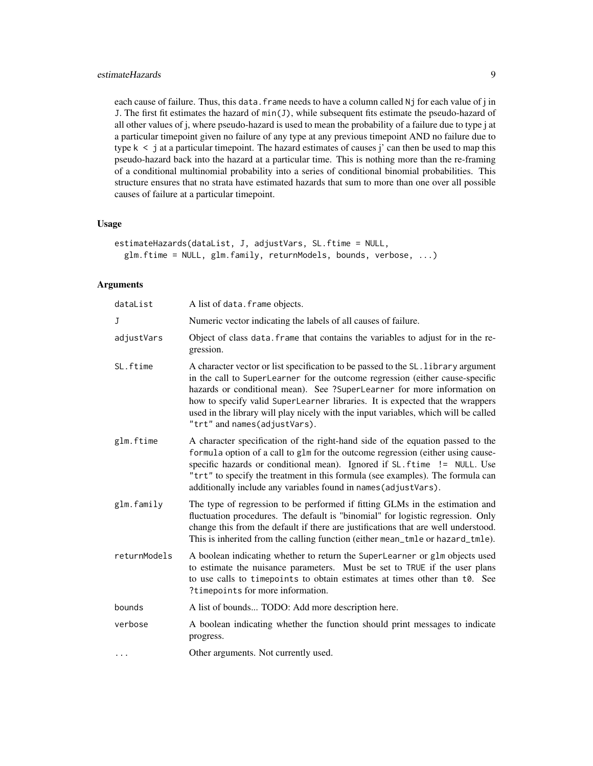#### estimateHazards 9

each cause of failure. Thus, this data. frame needs to have a column called Nj for each value of j in J. The first fit estimates the hazard of  $min(J)$ , while subsequent fits estimate the pseudo-hazard of all other values of j, where pseudo-hazard is used to mean the probability of a failure due to type j at a particular timepoint given no failure of any type at any previous timepoint AND no failure due to type  $k \leq j$  at a particular timepoint. The hazard estimates of causes j' can then be used to map this pseudo-hazard back into the hazard at a particular time. This is nothing more than the re-framing of a conditional multinomial probability into a series of conditional binomial probabilities. This structure ensures that no strata have estimated hazards that sum to more than one over all possible causes of failure at a particular timepoint.

#### Usage

```
estimateHazards(dataList, J, adjustVars, SL.ftime = NULL,
  glm.ftime = NULL, glm.family, returnModels, bounds, verbose, ...)
```

| dataList     | A list of data. frame objects.                                                                                                                                                                                                                                                                                                                                                                                                                        |
|--------------|-------------------------------------------------------------------------------------------------------------------------------------------------------------------------------------------------------------------------------------------------------------------------------------------------------------------------------------------------------------------------------------------------------------------------------------------------------|
| J            | Numeric vector indicating the labels of all causes of failure.                                                                                                                                                                                                                                                                                                                                                                                        |
| adjustVars   | Object of class data. frame that contains the variables to adjust for in the re-<br>gression.                                                                                                                                                                                                                                                                                                                                                         |
| SL.ftime     | A character vector or list specification to be passed to the SL. library argument<br>in the call to SuperLearner for the outcome regression (either cause-specific<br>hazards or conditional mean). See ?SuperLearner for more information on<br>how to specify valid SuperLearner libraries. It is expected that the wrappers<br>used in the library will play nicely with the input variables, which will be called<br>"trt" and names(adjustVars). |
| glm.ftime    | A character specification of the right-hand side of the equation passed to the<br>formula option of a call to glm for the outcome regression (either using cause-<br>specific hazards or conditional mean). Ignored if SL. ftime != NULL. Use<br>"trt" to specify the treatment in this formula (see examples). The formula can<br>additionally include any variables found in names (adjustVars).                                                    |
| glm.family   | The type of regression to be performed if fitting GLMs in the estimation and<br>fluctuation procedures. The default is "binomial" for logistic regression. Only<br>change this from the default if there are justifications that are well understood.<br>This is inherited from the calling function (either mean_tmle or hazard_tmle).                                                                                                               |
| returnModels | A boolean indicating whether to return the SuperLearner or glm objects used<br>to estimate the nuisance parameters. Must be set to TRUE if the user plans<br>to use calls to timepoints to obtain estimates at times other than t0. See<br>? time points for more information.                                                                                                                                                                        |
| bounds       | A list of bounds TODO: Add more description here.                                                                                                                                                                                                                                                                                                                                                                                                     |
| verbose      | A boolean indicating whether the function should print messages to indicate<br>progress.                                                                                                                                                                                                                                                                                                                                                              |
| .            | Other arguments. Not currently used.                                                                                                                                                                                                                                                                                                                                                                                                                  |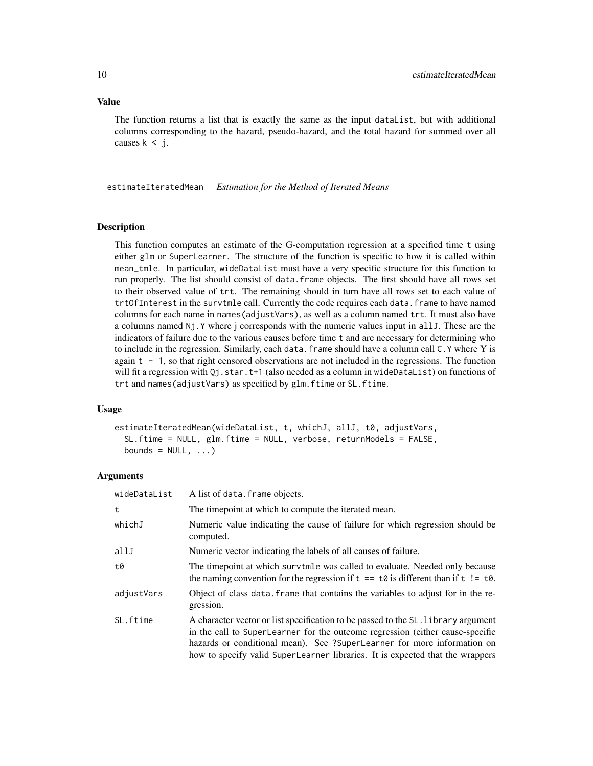<span id="page-9-0"></span>The function returns a list that is exactly the same as the input dataList, but with additional columns corresponding to the hazard, pseudo-hazard, and the total hazard for summed over all causes  $k < j$ .

estimateIteratedMean *Estimation for the Method of Iterated Means*

#### Description

This function computes an estimate of the G-computation regression at a specified time t using either glm or SuperLearner. The structure of the function is specific to how it is called within mean\_tmle. In particular, wideDataList must have a very specific structure for this function to run properly. The list should consist of data.frame objects. The first should have all rows set to their observed value of trt. The remaining should in turn have all rows set to each value of trtOfInterest in the survtmle call. Currently the code requires each data.frame to have named columns for each name in names(adjustVars), as well as a column named trt. It must also have a columns named Nj.Y where j corresponds with the numeric values input in allJ. These are the indicators of failure due to the various causes before time t and are necessary for determining who to include in the regression. Similarly, each data.frame should have a column call C.Y where Y is again t - 1, so that right censored observations are not included in the regressions. The function will fit a regression with  $Qj$ . star.t+1 (also needed as a column in wideDataList) on functions of trt and names(adjustVars) as specified by glm.ftime or SL.ftime.

#### Usage

estimateIteratedMean(wideDataList, t, whichJ, allJ, t0, adjustVars, SL.ftime = NULL, glm.ftime = NULL, verbose, returnModels = FALSE, bounds =  $NULL, ...)$ 

| wideDataList | A list of data. frame objects.                                                                                                                                                                                                                                                                                                 |
|--------------|--------------------------------------------------------------------------------------------------------------------------------------------------------------------------------------------------------------------------------------------------------------------------------------------------------------------------------|
| t            | The timepoint at which to compute the iterated mean.                                                                                                                                                                                                                                                                           |
| whichJ       | Numeric value indicating the cause of failure for which regression should be<br>computed.                                                                                                                                                                                                                                      |
| allJ         | Numeric vector indicating the labels of all causes of failure.                                                                                                                                                                                                                                                                 |
| t0           | The time point at which survtmle was called to evaluate. Needed only because<br>the naming convention for the regression if $t = t0$ is different than if $t = t0$ .                                                                                                                                                           |
| adjustVars   | Object of class data. frame that contains the variables to adjust for in the re-<br>gression.                                                                                                                                                                                                                                  |
| SL.ftime     | A character vector or list specification to be passed to the SL. library argument<br>in the call to SuperLearner for the outcome regression (either cause-specific<br>hazards or conditional mean). See ?SuperLearner for more information on<br>how to specify valid SuperLearner libraries. It is expected that the wrappers |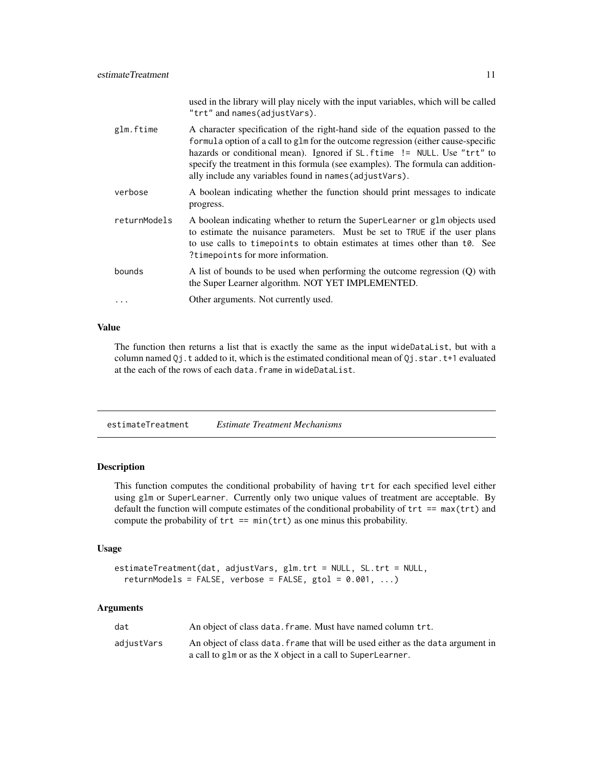<span id="page-10-0"></span>

|              | used in the library will play nicely with the input variables, which will be called<br>"trt" and names(adjustVars).                                                                                                                                                                                                                                                                           |
|--------------|-----------------------------------------------------------------------------------------------------------------------------------------------------------------------------------------------------------------------------------------------------------------------------------------------------------------------------------------------------------------------------------------------|
| glm.ftime    | A character specification of the right-hand side of the equation passed to the<br>formula option of a call to glm for the outcome regression (either cause-specific<br>hazards or conditional mean). Ignored if SL. ftime != NULL. Use "trt" to<br>specify the treatment in this formula (see examples). The formula can addition-<br>ally include any variables found in names (adjustVars). |
| verbose      | A boolean indicating whether the function should print messages to indicate<br>progress.                                                                                                                                                                                                                                                                                                      |
| returnModels | A boolean indicating whether to return the SuperLearner or glm objects used<br>to estimate the nuisance parameters. Must be set to TRUE if the user plans<br>to use calls to time points to obtain estimates at times other than to. See<br>?timepoints for more information.                                                                                                                 |
| bounds       | A list of bounds to be used when performing the outcome regression (Q) with<br>the Super Learner algorithm. NOT YET IMPLEMENTED.                                                                                                                                                                                                                                                              |
| $\cdots$     | Other arguments. Not currently used.                                                                                                                                                                                                                                                                                                                                                          |

The function then returns a list that is exactly the same as the input wideDataList, but with a column named Qj.t added to it, which is the estimated conditional mean of Qj.star.t+1 evaluated at the each of the rows of each data.frame in wideDataList.

estimateTreatment *Estimate Treatment Mechanisms*

#### Description

This function computes the conditional probability of having trt for each specified level either using glm or SuperLearner. Currently only two unique values of treatment are acceptable. By default the function will compute estimates of the conditional probability of trt == max(trt) and compute the probability of  $trt == min(trt)$  as one minus this probability.

#### Usage

```
estimateTreatment(dat, adjustVars, glm.trt = NULL, SL.trt = NULL,
  return Models = FALSE, verbose = FALSE, gtol = 0.001, ...)
```

| dat        | An object of class data. frame. Must have named column trt.                     |
|------------|---------------------------------------------------------------------------------|
| adjustVars | An object of class data, frame that will be used either as the data argument in |
|            | a call to glm or as the X object in a call to SuperLearner.                     |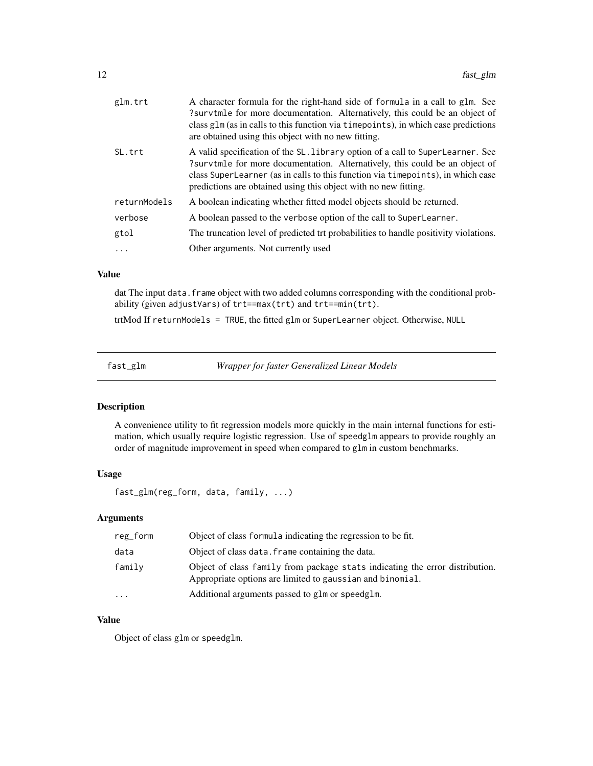<span id="page-11-0"></span>

| glm.trt      | A character formula for the right-hand side of formula in a call to glm. See<br>?survtmle for more documentation. Alternatively, this could be an object of<br>class glm (as in calls to this function via timepoints), in which case predictions<br>are obtained using this object with no new fitting.            |
|--------------|---------------------------------------------------------------------------------------------------------------------------------------------------------------------------------------------------------------------------------------------------------------------------------------------------------------------|
| SL.trt       | A valid specification of the SL. Library option of a call to SuperLearner. See<br>?survtmle for more documentation. Alternatively, this could be an object of<br>class SuperLearner (as in calls to this function via timepoints), in which case<br>predictions are obtained using this object with no new fitting. |
| returnModels | A boolean indicating whether fitted model objects should be returned.                                                                                                                                                                                                                                               |
| verbose      | A boolean passed to the verbose option of the call to SuperLearner.                                                                                                                                                                                                                                                 |
| gtol         | The truncation level of predicted trt probabilities to handle positivity violations.                                                                                                                                                                                                                                |
| .            | Other arguments. Not currently used                                                                                                                                                                                                                                                                                 |

dat The input data. frame object with two added columns corresponding with the conditional probability (given adjustVars) of trt==max(trt) and trt==min(trt).

trtMod If returnModels = TRUE, the fitted glm or SuperLearner object. Otherwise, NULL

fast\_glm *Wrapper for faster Generalized Linear Models*

#### Description

A convenience utility to fit regression models more quickly in the main internal functions for estimation, which usually require logistic regression. Use of speedglm appears to provide roughly an order of magnitude improvement in speed when compared to glm in custom benchmarks.

#### Usage

fast\_glm(reg\_form, data, family, ...)

#### Arguments

| reg_form  | Object of class formula indicating the regression to be fit.                                                                              |
|-----------|-------------------------------------------------------------------------------------------------------------------------------------------|
| data      | Object of class data. Frame containing the data.                                                                                          |
| family    | Object of class family from package stats indicating the error distribution.<br>Appropriate options are limited to gaussian and binomial. |
| $\ddotsc$ | Additional arguments passed to glm or speedglm.                                                                                           |

#### Value

Object of class glm or speedglm.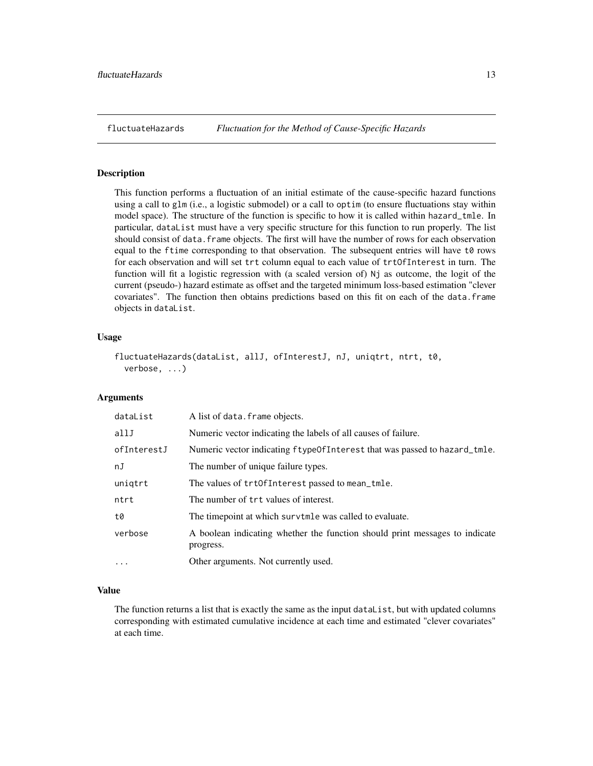<span id="page-12-0"></span>

#### Description

This function performs a fluctuation of an initial estimate of the cause-specific hazard functions using a call to glm (i.e., a logistic submodel) or a call to optim (to ensure fluctuations stay within model space). The structure of the function is specific to how it is called within hazard\_tmle. In particular, dataList must have a very specific structure for this function to run properly. The list should consist of data. frame objects. The first will have the number of rows for each observation equal to the ftime corresponding to that observation. The subsequent entries will have t0 rows for each observation and will set trt column equal to each value of trtOfInterest in turn. The function will fit a logistic regression with (a scaled version of) Nj as outcome, the logit of the current (pseudo-) hazard estimate as offset and the targeted minimum loss-based estimation "clever covariates". The function then obtains predictions based on this fit on each of the data.frame objects in dataList.

#### Usage

```
fluctuateHazards(dataList, allJ, ofInterestJ, nJ, uniqtrt, ntrt, t0,
  verbose, ...)
```
#### Arguments

| dataList    | A list of data. frame objects.                                                           |
|-------------|------------------------------------------------------------------------------------------|
| allJ        | Numeric vector indicating the labels of all causes of failure.                           |
| ofInterestJ | Numeric vector indicating ftype Of Interest that was passed to hazard_tmle.              |
| nJ          | The number of unique failure types.                                                      |
| uniqtrt     | The values of trtOfInterest passed to mean_tmle.                                         |
| ntrt        | The number of trt values of interest.                                                    |
| t0          | The time point at which survtmle was called to evaluate.                                 |
| verbose     | A boolean indicating whether the function should print messages to indicate<br>progress. |
| $\cdots$    | Other arguments. Not currently used.                                                     |

#### Value

The function returns a list that is exactly the same as the input dataList, but with updated columns corresponding with estimated cumulative incidence at each time and estimated "clever covariates" at each time.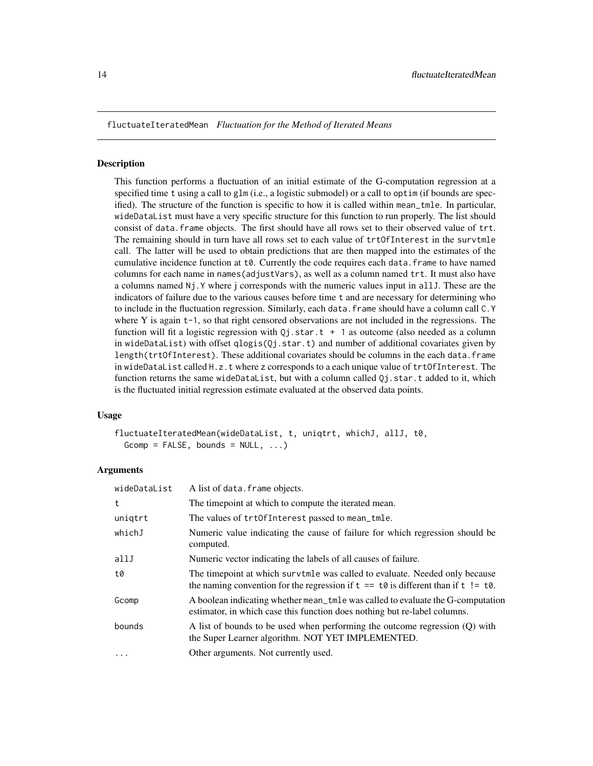<span id="page-13-0"></span>fluctuateIteratedMean *Fluctuation for the Method of Iterated Means*

#### **Description**

This function performs a fluctuation of an initial estimate of the G-computation regression at a specified time t using a call to glm (i.e., a logistic submodel) or a call to optim (if bounds are specified). The structure of the function is specific to how it is called within mean\_tmle. In particular, wideDataList must have a very specific structure for this function to run properly. The list should consist of data.frame objects. The first should have all rows set to their observed value of trt. The remaining should in turn have all rows set to each value of trtOfInterest in the survtmle call. The latter will be used to obtain predictions that are then mapped into the estimates of the cumulative incidence function at  $\theta$ . Currently the code requires each data. frame to have named columns for each name in names(adjustVars), as well as a column named trt. It must also have a columns named Nj.Y where j corresponds with the numeric values input in allJ. These are the indicators of failure due to the various causes before time t and are necessary for determining who to include in the fluctuation regression. Similarly, each data. frame should have a column call C.Y where Y is again  $t-1$ , so that right censored observations are not included in the regressions. The function will fit a logistic regression with  $Q_1$ , star.t + 1 as outcome (also needed as a column in wideDataList) with offset qlogis(Qj.star.t) and number of additional covariates given by length(trtOfInterest). These additional covariates should be columns in the each data.frame in wideDataList called H.z.t where z corresponds to a each unique value of trtOfInterest. The function returns the same wideDataList, but with a column called Qj.star.t added to it, which is the fluctuated initial regression estimate evaluated at the observed data points.

#### Usage

fluctuateIteratedMean(wideDataList, t, uniqtrt, whichJ, allJ, t0,  $Gcomp = FALSE, bounds = NULL, ...$ 

| wideDataList | A list of data. frame objects.                                                                                                                                      |
|--------------|---------------------------------------------------------------------------------------------------------------------------------------------------------------------|
| t            | The time point at which to compute the iterated mean.                                                                                                               |
| uniqtrt      | The values of trtOfInterest passed to mean_tmle.                                                                                                                    |
| whichJ       | Numeric value indicating the cause of failure for which regression should be<br>computed.                                                                           |
| allJ         | Numeric vector indicating the labels of all causes of failure.                                                                                                      |
| t0           | The timepoint at which survtmle was called to evaluate. Needed only because<br>the naming convention for the regression if $t = t0$ is different than if $t$ != t0. |
| Gcomp        | A boolean indicating whether mean_tmle was called to evaluate the G-computation<br>estimator, in which case this function does nothing but re-label columns.        |
| bounds       | A list of bounds to be used when performing the outcome regression (Q) with<br>the Super Learner algorithm. NOT YET IMPLEMENTED.                                    |
| $\cdots$     | Other arguments. Not currently used.                                                                                                                                |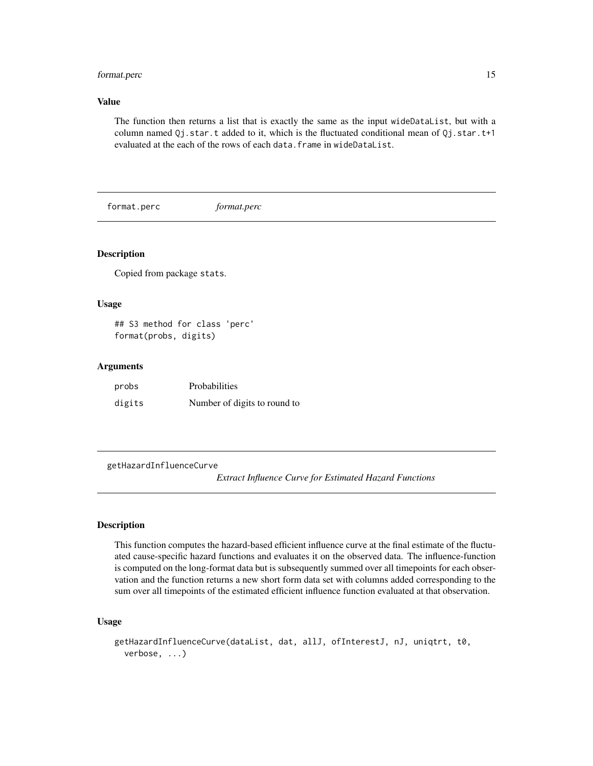#### <span id="page-14-0"></span>format.perc 15

#### Value

The function then returns a list that is exactly the same as the input wideDataList, but with a column named  $Qj.star.t$  added to it, which is the fluctuated conditional mean of  $Qj.star.t$ +1 evaluated at the each of the rows of each data.frame in wideDataList.

format.perc *format.perc*

#### Description

Copied from package stats.

#### Usage

## S3 method for class 'perc' format(probs, digits)

#### Arguments

| probs  | Probabilities                |
|--------|------------------------------|
| digits | Number of digits to round to |

getHazardInfluenceCurve

*Extract Influence Curve for Estimated Hazard Functions*

#### Description

This function computes the hazard-based efficient influence curve at the final estimate of the fluctuated cause-specific hazard functions and evaluates it on the observed data. The influence-function is computed on the long-format data but is subsequently summed over all timepoints for each observation and the function returns a new short form data set with columns added corresponding to the sum over all timepoints of the estimated efficient influence function evaluated at that observation.

#### Usage

```
getHazardInfluenceCurve(dataList, dat, allJ, ofInterestJ, nJ, uniqtrt, t0,
 verbose, ...)
```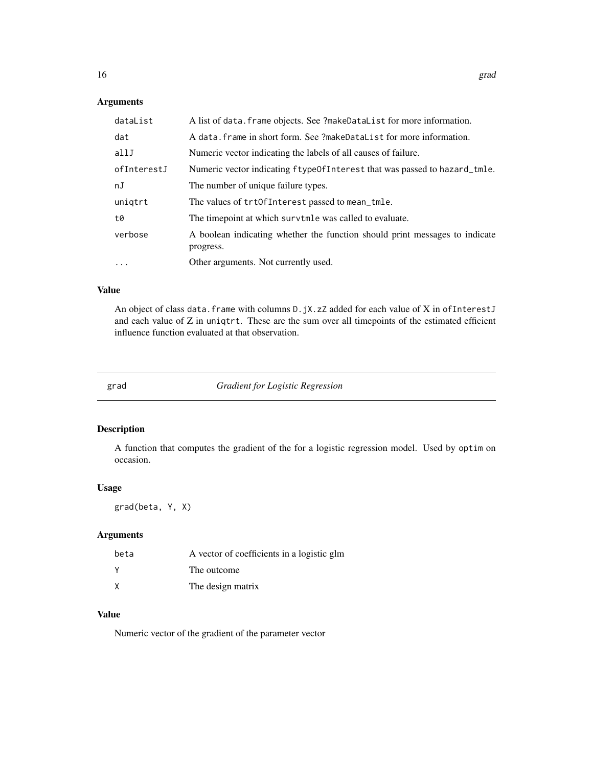#### Arguments

| dataList    | A list of data. frame objects. See ?makeDataList for more information.                   |
|-------------|------------------------------------------------------------------------------------------|
| dat         | A data. frame in short form. See ?makeDataList for more information.                     |
| allJ        | Numeric vector indicating the labels of all causes of failure.                           |
| ofInterestJ | Numeric vector indicating ftypeOfInterest that was passed to hazard_tmle.                |
| nJ          | The number of unique failure types.                                                      |
| unigtrt     | The values of trtOfInterest passed to mean_tmle.                                         |
| t0          | The timepoint at which survtmle was called to evaluate.                                  |
| verbose     | A boolean indicating whether the function should print messages to indicate<br>progress. |
| $\cdots$    | Other arguments. Not currently used.                                                     |

#### Value

An object of class data.frame with columns D.jX.zZ added for each value of X in ofInterestJ and each value of Z in uniqtrt. These are the sum over all timepoints of the estimated efficient influence function evaluated at that observation.

grad *Gradient for Logistic Regression*

#### Description

A function that computes the gradient of the for a logistic regression model. Used by optim on occasion.

#### Usage

grad(beta, Y, X)

#### Arguments

| beta | A vector of coefficients in a logistic glm |
|------|--------------------------------------------|
|      | The outcome                                |
|      | The design matrix                          |

#### Value

Numeric vector of the gradient of the parameter vector

<span id="page-15-0"></span>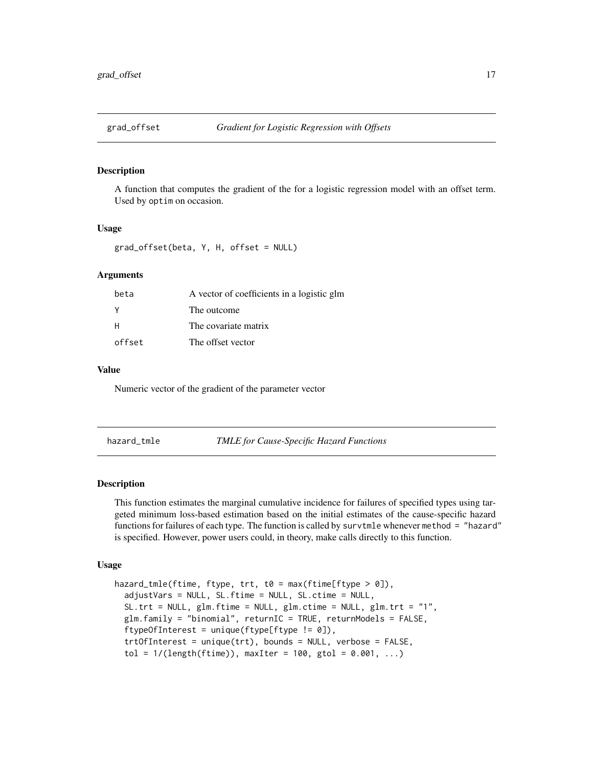<span id="page-16-0"></span>

#### Description

A function that computes the gradient of the for a logistic regression model with an offset term. Used by optim on occasion.

#### Usage

```
grad_offset(beta, Y, H, offset = NULL)
```
#### **Arguments**

| beta     | A vector of coefficients in a logistic glm |
|----------|--------------------------------------------|
| <b>V</b> | The outcome                                |
| H        | The covariate matrix                       |
| offset   | The offset vector                          |

#### Value

Numeric vector of the gradient of the parameter vector

hazard\_tmle *TMLE for Cause-Specific Hazard Functions*

#### Description

This function estimates the marginal cumulative incidence for failures of specified types using targeted minimum loss-based estimation based on the initial estimates of the cause-specific hazard functions for failures of each type. The function is called by survtmle whenever method = "hazard" is specified. However, power users could, in theory, make calls directly to this function.

#### Usage

```
hazard_tmle(ftime, ftype, trt, t0 = max(ftime[ftype > 0]),
  adjustVars = NULL, SL.ftime = NULL, SL.ctime = NULL,
  SL.trt = NULL, glm.ftime = NULL, glm.ctime = NULL, glm.trt = "1",
 glm.family = "binomial", returnIC = TRUE, returnModels = FALSE,
  ftypeOfInterest = unique(ftype[ftype != 0]),
  trtOfInterest = unique(trt), bounds = NULL, verbose = FALSE,
  tol = 1/(length(ftime)), maxIter = 100, gtol = 0.001, ...)
```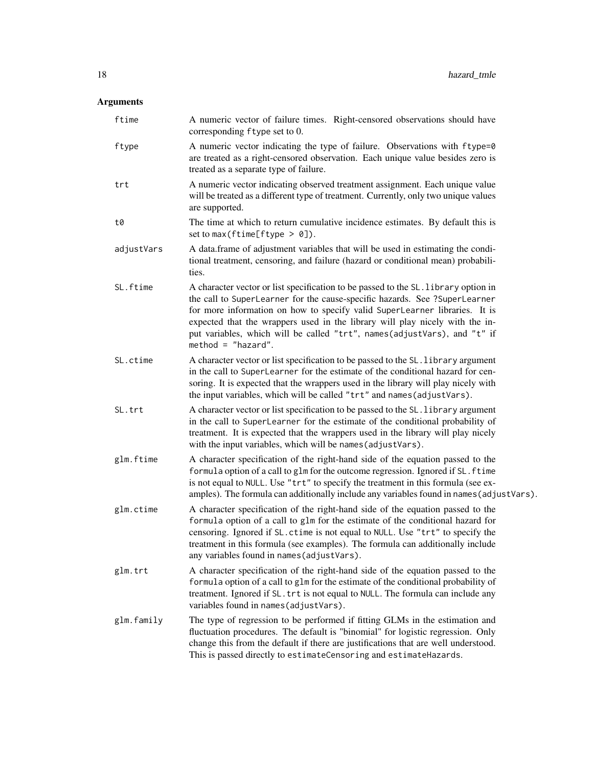| ftime      | A numeric vector of failure times. Right-censored observations should have<br>corresponding ftype set to 0.                                                                                                                                                                                                                                                                                                                        |
|------------|------------------------------------------------------------------------------------------------------------------------------------------------------------------------------------------------------------------------------------------------------------------------------------------------------------------------------------------------------------------------------------------------------------------------------------|
| ftype      | A numeric vector indicating the type of failure. Observations with ftype=0<br>are treated as a right-censored observation. Each unique value besides zero is<br>treated as a separate type of failure.                                                                                                                                                                                                                             |
| trt        | A numeric vector indicating observed treatment assignment. Each unique value<br>will be treated as a different type of treatment. Currently, only two unique values<br>are supported.                                                                                                                                                                                                                                              |
| t0         | The time at which to return cumulative incidence estimates. By default this is<br>set to max (ftime[ftype $> 0$ ]).                                                                                                                                                                                                                                                                                                                |
| adjustVars | A data.frame of adjustment variables that will be used in estimating the condi-<br>tional treatment, censoring, and failure (hazard or conditional mean) probabili-<br>ties.                                                                                                                                                                                                                                                       |
| SL.ftime   | A character vector or list specification to be passed to the SL. library option in<br>the call to SuperLearner for the cause-specific hazards. See ?SuperLearner<br>for more information on how to specify valid SuperLearner libraries. It is<br>expected that the wrappers used in the library will play nicely with the in-<br>put variables, which will be called "trt", names(adjustVars), and "t" if<br>$method = "hazard".$ |
| SL.ctime   | A character vector or list specification to be passed to the SL. library argument<br>in the call to SuperLearner for the estimate of the conditional hazard for cen-<br>soring. It is expected that the wrappers used in the library will play nicely with<br>the input variables, which will be called "trt" and names (adjustVars).                                                                                              |
| SL.trt     | A character vector or list specification to be passed to the SL. library argument<br>in the call to SuperLearner for the estimate of the conditional probability of<br>treatment. It is expected that the wrappers used in the library will play nicely<br>with the input variables, which will be names (adjustVars).                                                                                                             |
| glm.ftime  | A character specification of the right-hand side of the equation passed to the<br>formula option of a call to glm for the outcome regression. Ignored if SL. ftime<br>is not equal to NULL. Use "trt" to specify the treatment in this formula (see ex-<br>amples). The formula can additionally include any variables found in names (adjustVars).                                                                                |
| glm.ctime  | A character specification of the right-hand side of the equation passed to the<br>formula option of a call to glm for the estimate of the conditional hazard for<br>censoring. Ignored if SL. ctime is not equal to NULL. Use "trt" to specify the<br>treatment in this formula (see examples). The formula can additionally include<br>any variables found in names (adjustVars).                                                 |
| glm.trt    | A character specification of the right-hand side of the equation passed to the<br>formula option of a call to glm for the estimate of the conditional probability of<br>treatment. Ignored if SL. trt is not equal to NULL. The formula can include any<br>variables found in names (adjustVars).                                                                                                                                  |
| glm.family | The type of regression to be performed if fitting GLMs in the estimation and<br>fluctuation procedures. The default is "binomial" for logistic regression. Only<br>change this from the default if there are justifications that are well understood.<br>This is passed directly to estimateCensoring and estimateHazards.                                                                                                         |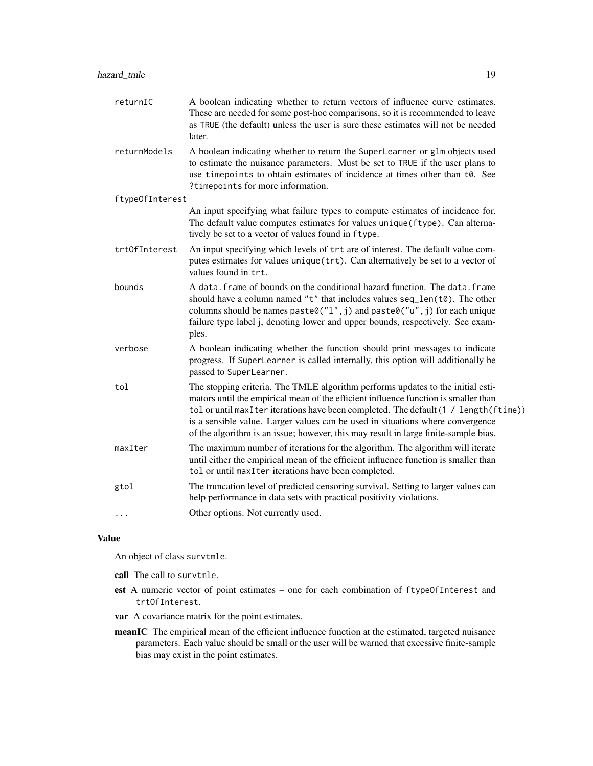|     | returnIC        | A boolean indicating whether to return vectors of influence curve estimates.<br>These are needed for some post-hoc comparisons, so it is recommended to leave<br>as TRUE (the default) unless the user is sure these estimates will not be needed<br>later.                                                                                                                                                                              |
|-----|-----------------|------------------------------------------------------------------------------------------------------------------------------------------------------------------------------------------------------------------------------------------------------------------------------------------------------------------------------------------------------------------------------------------------------------------------------------------|
|     | returnModels    | A boolean indicating whether to return the SuperLearner or glm objects used<br>to estimate the nuisance parameters. Must be set to TRUE if the user plans to<br>use timepoints to obtain estimates of incidence at times other than t0. See<br>?timepoints for more information.                                                                                                                                                         |
|     | ftypeOfInterest |                                                                                                                                                                                                                                                                                                                                                                                                                                          |
|     |                 | An input specifying what failure types to compute estimates of incidence for.<br>The default value computes estimates for values unique (ftype). Can alterna-<br>tively be set to a vector of values found in ftype.                                                                                                                                                                                                                     |
|     | trt0fInterest   | An input specifying which levels of trt are of interest. The default value com-<br>putes estimates for values unique (trt). Can alternatively be set to a vector of<br>values found in trt.                                                                                                                                                                                                                                              |
|     | bounds          | A data. frame of bounds on the conditional hazard function. The data. frame<br>should have a column named "t" that includes values seq_len(t0). The other<br>columns should be names paste0( $"l", j$ ) and paste0( $"u", j$ ) for each unique<br>failure type label j, denoting lower and upper bounds, respectively. See exam-<br>ples.                                                                                                |
|     | verbose         | A boolean indicating whether the function should print messages to indicate<br>progress. If SuperLearner is called internally, this option will additionally be<br>passed to SuperLearner.                                                                                                                                                                                                                                               |
| tol |                 | The stopping criteria. The TMLE algorithm performs updates to the initial esti-<br>mators until the empirical mean of the efficient influence function is smaller than<br>tol or until maxIter iterations have been completed. The default (1 / length (ftime))<br>is a sensible value. Larger values can be used in situations where convergence<br>of the algorithm is an issue; however, this may result in large finite-sample bias. |
|     | maxIter         | The maximum number of iterations for the algorithm. The algorithm will iterate<br>until either the empirical mean of the efficient influence function is smaller than<br>tol or until maxIter iterations have been completed.                                                                                                                                                                                                            |
|     | gtol            | The truncation level of predicted censoring survival. Setting to larger values can<br>help performance in data sets with practical positivity violations.                                                                                                                                                                                                                                                                                |
| .   |                 | Other options. Not currently used.                                                                                                                                                                                                                                                                                                                                                                                                       |
|     |                 |                                                                                                                                                                                                                                                                                                                                                                                                                                          |

An object of class survtmle.

call The call to survtmle.

- est A numeric vector of point estimates one for each combination of ftypeOfInterest and trtOfInterest.
- var A covariance matrix for the point estimates.
- meanIC The empirical mean of the efficient influence function at the estimated, targeted nuisance parameters. Each value should be small or the user will be warned that excessive finite-sample bias may exist in the point estimates.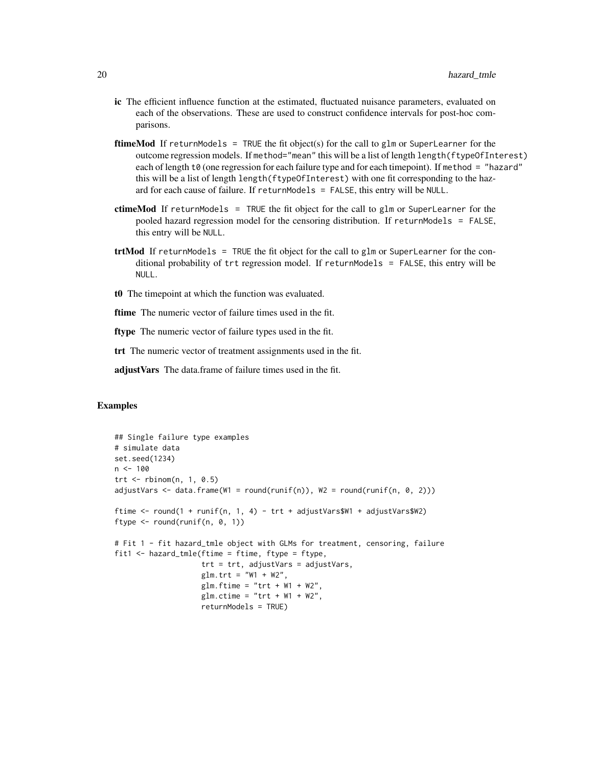- ic The efficient influence function at the estimated, fluctuated nuisance parameters, evaluated on each of the observations. These are used to construct confidence intervals for post-hoc comparisons.
- **ftimeMod** If returnModels = TRUE the fit object(s) for the call to  $g1m$  or SuperLearner for the outcome regression models. If method="mean" this will be a list of length length(ftypeOfInterest) each of length t0 (one regression for each failure type and for each timepoint). If method = "hazard" this will be a list of length length(ftypeOfInterest) with one fit corresponding to the hazard for each cause of failure. If returnModels = FALSE, this entry will be NULL.
- ctimeMod If returnModels = TRUE the fit object for the call to glm or SuperLearner for the pooled hazard regression model for the censoring distribution. If returnModels = FALSE, this entry will be NULL.
- $trtMod$  If returnModels = TRUE the fit object for the call to glm or SuperLearner for the conditional probability of trt regression model. If returnModels = FALSE, this entry will be NULL.
- t0 The timepoint at which the function was evaluated.
- ftime The numeric vector of failure times used in the fit.
- ftype The numeric vector of failure types used in the fit.
- trt The numeric vector of treatment assignments used in the fit.

adjust Vars The data.frame of failure times used in the fit.

#### Examples

```
## Single failure type examples
# simulate data
set.seed(1234)
n < - 100trt <- rbinom(n, 1, 0.5)
adjustVars \leq data.frame(W1 = round(runif(n)), W2 = round(runif(n, 0, 2)))
ftime <- round(1 + runif(n, 1, 4) - trt + adjustVars$W1 + adjustVars$W2)
ftype \le round(runif(n, 0, 1))
# Fit 1 - fit hazard_tmle object with GLMs for treatment, censoring, failure
fit1 \le hazard_tmle(ftime = ftime, ftype = ftype,
                    trt = trt, adjustVars = adjustVars,
                    glm.trt = "W1 + W2",
                    glm.ftime = "trt + W1 + W2",
                    glm.ctime = "trt + W1 + W2",returnModels = TRUE)
```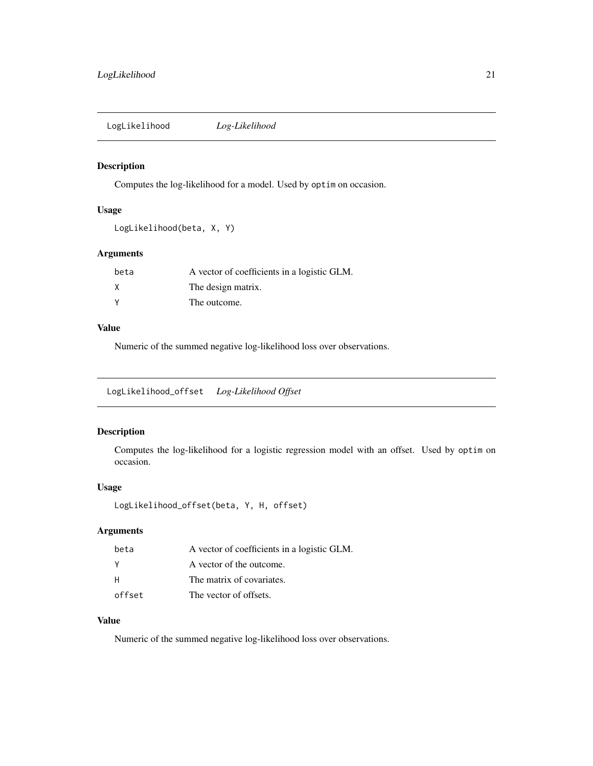<span id="page-20-0"></span>LogLikelihood *Log-Likelihood*

#### Description

Computes the log-likelihood for a model. Used by optim on occasion.

#### Usage

```
LogLikelihood(beta, X, Y)
```
#### Arguments

| beta | A vector of coefficients in a logistic GLM. |
|------|---------------------------------------------|
| Χ    | The design matrix.                          |
| ٧    | The outcome.                                |

#### Value

Numeric of the summed negative log-likelihood loss over observations.

LogLikelihood\_offset *Log-Likelihood Offset*

#### Description

Computes the log-likelihood for a logistic regression model with an offset. Used by optim on occasion.

#### Usage

```
LogLikelihood_offset(beta, Y, H, offset)
```
#### Arguments

| beta   | A vector of coefficients in a logistic GLM. |
|--------|---------------------------------------------|
| - Y    | A vector of the outcome.                    |
| H      | The matrix of covariates.                   |
| offset | The vector of offsets.                      |

#### Value

Numeric of the summed negative log-likelihood loss over observations.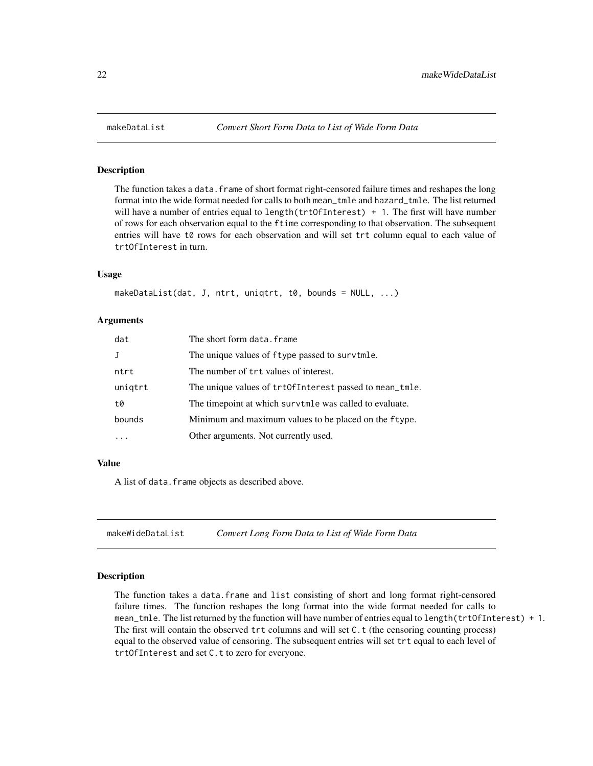<span id="page-21-0"></span>

#### Description

The function takes a data. frame of short format right-censored failure times and reshapes the long format into the wide format needed for calls to both mean\_tmle and hazard\_tmle. The list returned will have a number of entries equal to length(trt0fInterest) + 1. The first will have number of rows for each observation equal to the ftime corresponding to that observation. The subsequent entries will have t0 rows for each observation and will set trt column equal to each value of trtOfInterest in turn.

#### Usage

makeDataList(dat, J, ntrt, uniqtrt, t0, bounds = NULL, ...)

#### **Arguments**

| dat          | The short form data.frame                               |
|--------------|---------------------------------------------------------|
| $\mathbf{J}$ | The unique values of f type passed to surv tmle.        |
| ntrt         | The number of trt values of interest.                   |
| uniqtrt      | The unique values of trt0fInterest passed to mean_tmle. |
| t0           | The timepoint at which survtmle was called to evaluate. |
| bounds       | Minimum and maximum values to be placed on the ftype.   |
| .            | Other arguments. Not currently used.                    |

#### Value

A list of data. frame objects as described above.

makeWideDataList *Convert Long Form Data to List of Wide Form Data*

#### Description

The function takes a data.frame and list consisting of short and long format right-censored failure times. The function reshapes the long format into the wide format needed for calls to mean\_tmle. The list returned by the function will have number of entries equal to length(trtOfInterest) + 1. The first will contain the observed trt columns and will set C.t (the censoring counting process) equal to the observed value of censoring. The subsequent entries will set trt equal to each level of trtOfInterest and set C.t to zero for everyone.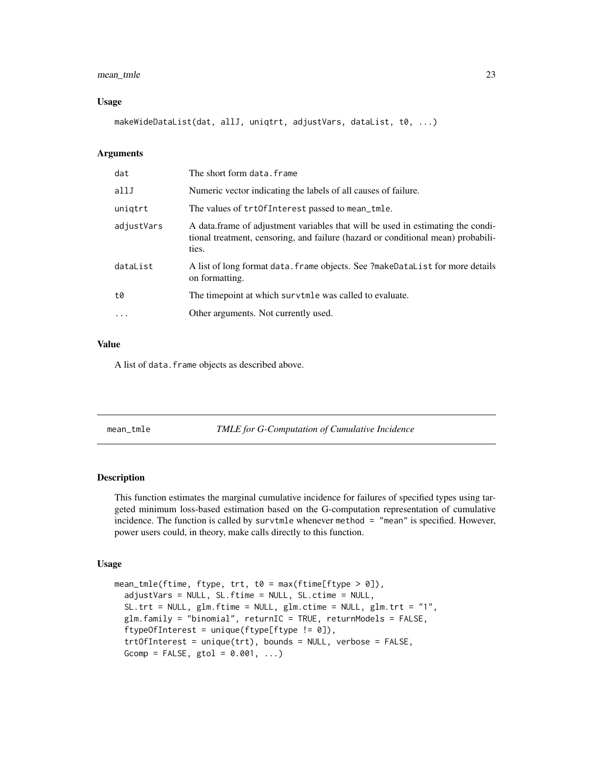#### <span id="page-22-0"></span>mean\_tmle 23

#### Usage

makeWideDataList(dat, allJ, uniqtrt, adjustVars, dataList, t0, ...)

#### **Arguments**

| dat                                             | The short form data.frame                                                                                                                                                    |
|-------------------------------------------------|------------------------------------------------------------------------------------------------------------------------------------------------------------------------------|
| allJ                                            | Numeric vector indicating the labels of all causes of failure.                                                                                                               |
| unigtrt                                         | The values of trtOfInterest passed to mean_tmle.                                                                                                                             |
| adjustVars                                      | A data frame of adjustment variables that will be used in estimating the condi-<br>tional treatment, censoring, and failure (hazard or conditional mean) probabili-<br>ties. |
| dataList                                        | A list of long format data. frame objects. See ?makeDataList for more details<br>on formatting.                                                                              |
| t0                                              | The timepoint at which survtmle was called to evaluate.                                                                                                                      |
| Other arguments. Not currently used.<br>$\cdot$ |                                                                                                                                                                              |

#### Value

A list of data. frame objects as described above.

mean\_tmle *TMLE for G-Computation of Cumulative Incidence*

#### Description

This function estimates the marginal cumulative incidence for failures of specified types using targeted minimum loss-based estimation based on the G-computation representation of cumulative incidence. The function is called by survtmle whenever method = "mean" is specified. However, power users could, in theory, make calls directly to this function.

#### Usage

```
mean_tmle(ftime, ftype, trt, t0 = max(ftime[ftype > 0]),
  adjustVars = NULL, SL.ftime = NULL, SL.ctime = NULL,
  SL.trt = NULL, glm.ftime = NULL, glm.ctime = NULL, glm.trt = "1",
 glm.family = "binomial", returnIC = TRUE, returnModels = FALSE,
  ftypeOfInterest = unique(ftype[ftype != 0]),
  trtOfInterest = unique(trt), bounds = NULL, verbose = FALSE,
 Gcomp = FALSE, getol = 0.001, ...
```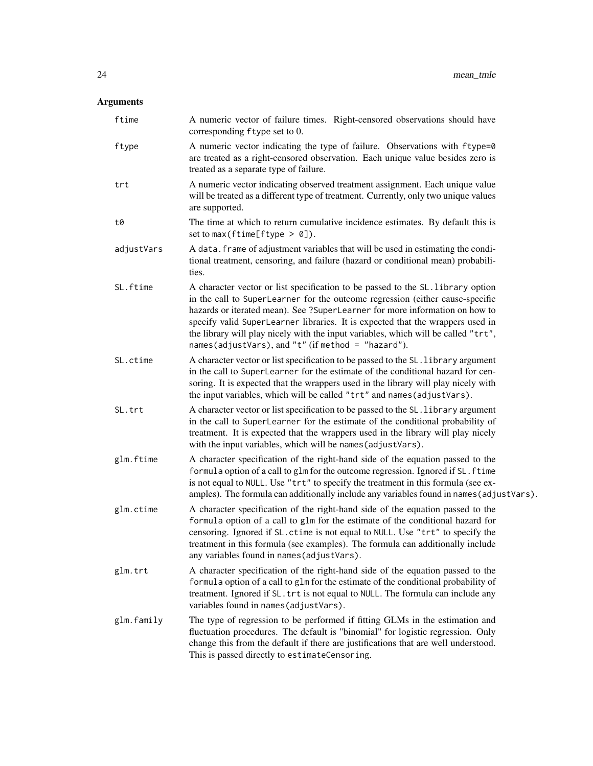| ftime      | A numeric vector of failure times. Right-censored observations should have<br>corresponding ftype set to 0.                                                                                                                                                                                                                                                                                                                                                                   |
|------------|-------------------------------------------------------------------------------------------------------------------------------------------------------------------------------------------------------------------------------------------------------------------------------------------------------------------------------------------------------------------------------------------------------------------------------------------------------------------------------|
| ftype      | A numeric vector indicating the type of failure. Observations with ftype=0<br>are treated as a right-censored observation. Each unique value besides zero is<br>treated as a separate type of failure.                                                                                                                                                                                                                                                                        |
| trt        | A numeric vector indicating observed treatment assignment. Each unique value<br>will be treated as a different type of treatment. Currently, only two unique values<br>are supported.                                                                                                                                                                                                                                                                                         |
| t0         | The time at which to return cumulative incidence estimates. By default this is<br>set to max (ftime[ftype $> 0$ ]).                                                                                                                                                                                                                                                                                                                                                           |
| adjustVars | A data. frame of adjustment variables that will be used in estimating the condi-<br>tional treatment, censoring, and failure (hazard or conditional mean) probabili-<br>ties.                                                                                                                                                                                                                                                                                                 |
| SL.ftime   | A character vector or list specification to be passed to the SL. library option<br>in the call to SuperLearner for the outcome regression (either cause-specific<br>hazards or iterated mean). See ?SuperLearner for more information on how to<br>specify valid SuperLearner libraries. It is expected that the wrappers used in<br>the library will play nicely with the input variables, which will be called "trt",<br>names(adjustVars), and "t" (if method = "hazard"). |
| SL.ctime   | A character vector or list specification to be passed to the SL. library argument<br>in the call to SuperLearner for the estimate of the conditional hazard for cen-<br>soring. It is expected that the wrappers used in the library will play nicely with<br>the input variables, which will be called "trt" and names (adjustVars).                                                                                                                                         |
| SL.trt     | A character vector or list specification to be passed to the SL. library argument<br>in the call to SuperLearner for the estimate of the conditional probability of<br>treatment. It is expected that the wrappers used in the library will play nicely<br>with the input variables, which will be names (adjustVars).                                                                                                                                                        |
| glm.ftime  | A character specification of the right-hand side of the equation passed to the<br>formula option of a call to glm for the outcome regression. Ignored if SL. ftime<br>is not equal to NULL. Use "trt" to specify the treatment in this formula (see ex-<br>amples). The formula can additionally include any variables found in names (adjustVars).                                                                                                                           |
| glm.ctime  | A character specification of the right-hand side of the equation passed to the<br>formula option of a call to glm for the estimate of the conditional hazard for<br>censoring. Ignored if SL. ctime is not equal to NULL. Use "trt" to specify the<br>treatment in this formula (see examples). The formula can additionally include<br>any variables found in names (adjustVars).                                                                                            |
| glm.trt    | A character specification of the right-hand side of the equation passed to the<br>formula option of a call to glm for the estimate of the conditional probability of<br>treatment. Ignored if SL. trt is not equal to NULL. The formula can include any<br>variables found in names (adjustVars).                                                                                                                                                                             |
| glm.family | The type of regression to be performed if fitting GLMs in the estimation and<br>fluctuation procedures. The default is "binomial" for logistic regression. Only<br>change this from the default if there are justifications that are well understood.<br>This is passed directly to estimateCensoring.                                                                                                                                                                        |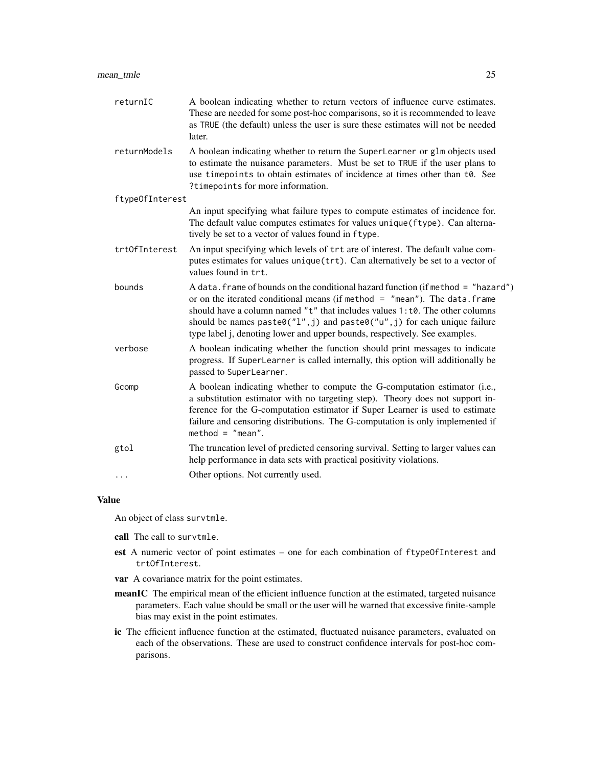| returnIC        | A boolean indicating whether to return vectors of influence curve estimates.<br>These are needed for some post-hoc comparisons, so it is recommended to leave<br>as TRUE (the default) unless the user is sure these estimates will not be needed<br>later.                                                                                                                                                 |
|-----------------|-------------------------------------------------------------------------------------------------------------------------------------------------------------------------------------------------------------------------------------------------------------------------------------------------------------------------------------------------------------------------------------------------------------|
| returnModels    | A boolean indicating whether to return the SuperLearner or glm objects used<br>to estimate the nuisance parameters. Must be set to TRUE if the user plans to<br>use timepoints to obtain estimates of incidence at times other than t0. See<br>?timepoints for more information.                                                                                                                            |
| ftypeOfInterest |                                                                                                                                                                                                                                                                                                                                                                                                             |
|                 | An input specifying what failure types to compute estimates of incidence for.<br>The default value computes estimates for values unique (ftype). Can alterna-<br>tively be set to a vector of values found in ftype.                                                                                                                                                                                        |
| trt0fInterest   | An input specifying which levels of trt are of interest. The default value com-<br>putes estimates for values unique (trt). Can alternatively be set to a vector of<br>values found in trt.                                                                                                                                                                                                                 |
| bounds          | A data. frame of bounds on the conditional hazard function (if method = "hazard")<br>or on the iterated conditional means (if method $=$ "mean"). The data. frame<br>should have a column named "t" that includes values 1:t0. The other columns<br>should be names paste0("1", j) and paste0("u", j) for each unique failure<br>type label j, denoting lower and upper bounds, respectively. See examples. |
| verbose         | A boolean indicating whether the function should print messages to indicate<br>progress. If SuperLearner is called internally, this option will additionally be<br>passed to SuperLearner.                                                                                                                                                                                                                  |
| Gcomp           | A boolean indicating whether to compute the G-computation estimator (i.e.,<br>a substitution estimator with no targeting step). Theory does not support in-<br>ference for the G-computation estimator if Super Learner is used to estimate<br>failure and censoring distributions. The G-computation is only implemented if<br>$method = "mean".$                                                          |
| gtol            | The truncation level of predicted censoring survival. Setting to larger values can<br>help performance in data sets with practical positivity violations.                                                                                                                                                                                                                                                   |
| $\cdots$        | Other options. Not currently used.                                                                                                                                                                                                                                                                                                                                                                          |
|                 |                                                                                                                                                                                                                                                                                                                                                                                                             |

An object of class survtmle.

- call The call to survtmle.
- est A numeric vector of point estimates one for each combination of ftypeOfInterest and trtOfInterest.
- var A covariance matrix for the point estimates.
- meanIC The empirical mean of the efficient influence function at the estimated, targeted nuisance parameters. Each value should be small or the user will be warned that excessive finite-sample bias may exist in the point estimates.
- ic The efficient influence function at the estimated, fluctuated nuisance parameters, evaluated on each of the observations. These are used to construct confidence intervals for post-hoc comparisons.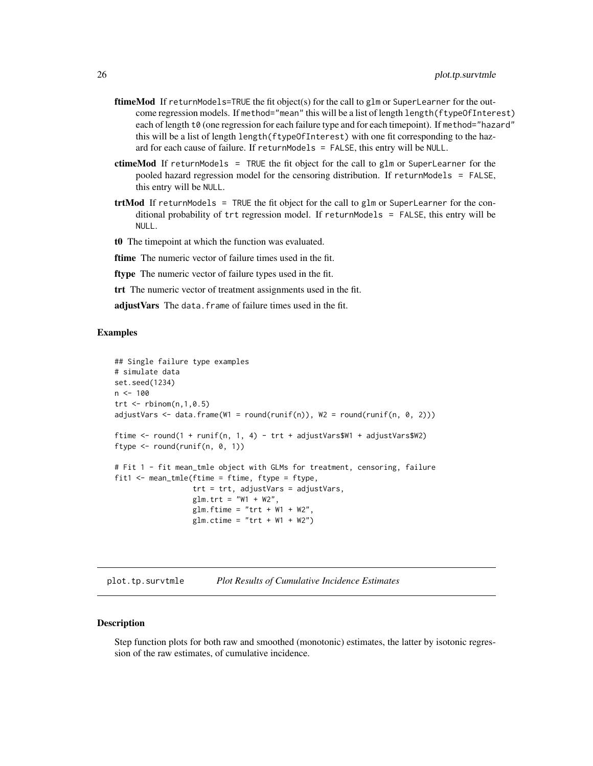- <span id="page-25-0"></span>ftimeMod If returnModels=TRUE the fit object(s) for the call to glm or SuperLearner for the outcome regression models. If method="mean" this will be a list of length length(ftypeOfInterest) each of length t0 (one regression for each failure type and for each timepoint). If method="hazard" this will be a list of length length(ftypeOfInterest) with one fit corresponding to the hazard for each cause of failure. If returnModels = FALSE, this entry will be NULL.
- ctimeMod If returnModels = TRUE the fit object for the call to glm or SuperLearner for the pooled hazard regression model for the censoring distribution. If returnModels = FALSE, this entry will be NULL.
- $trtMod$  If returnModels = TRUE the fit object for the call to glm or SuperLearner for the conditional probability of trt regression model. If returnModels = FALSE, this entry will be NULL.
- t0 The timepoint at which the function was evaluated.
- ftime The numeric vector of failure times used in the fit.
- ftype The numeric vector of failure types used in the fit.
- trt The numeric vector of treatment assignments used in the fit.
- adjust Vars The data. frame of failure times used in the fit.

#### Examples

```
## Single failure type examples
# simulate data
set.seed(1234)
n < -100trt \le rbinom(n,1,0.5)adjustVars < - data frame(W1 = round(runif(n)), W2 = round(runif(n, 0, 2)))ftime <- round(1 + runif(n, 1, 4) - trt + adjustVars$W1 + adjustVars$W2)
ftype \le round(runif(n, 0, 1))
# Fit 1 - fit mean_tmle object with GLMs for treatment, censoring, failure
fit1 <- mean_tmle(ftime = ftime, ftype = ftype,
                  trt = trt, adjustVars = adjustVars,
                  glm.trt = "W1 + W2",glm.ftime = "trt + W1 + W2"glm.ctime = "trt + W1 + W2")
```
plot.tp.survtmle *Plot Results of Cumulative Incidence Estimates*

#### Description

Step function plots for both raw and smoothed (monotonic) estimates, the latter by isotonic regression of the raw estimates, of cumulative incidence.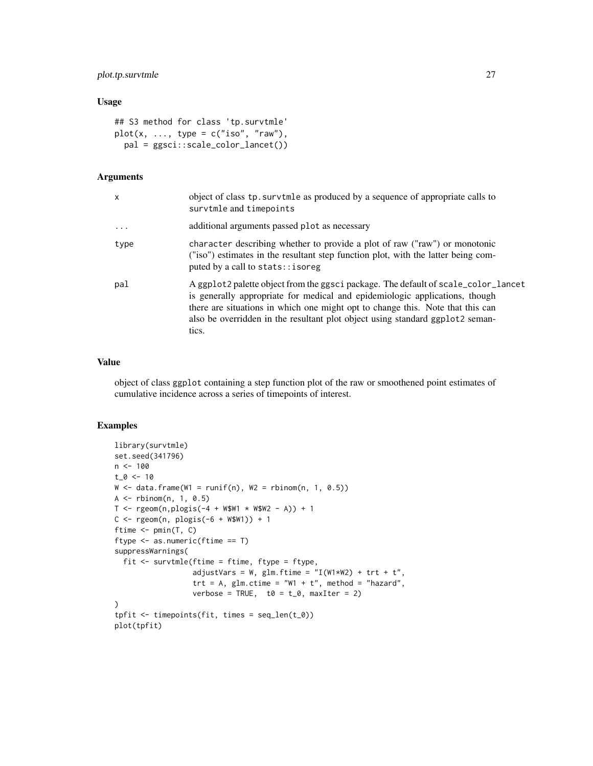#### plot.tp.survtmle 27

#### Usage

```
## S3 method for class 'tp.survtmle'
plot(x, ..., type = c("iso", "raw"),pal = ggsci::scale_color_lancet())
```
#### Arguments

| X       | object of class tp. survtmle as produced by a sequence of appropriate calls to<br>survtmle and timepoints                                                                                                                                                                                                                                     |
|---------|-----------------------------------------------------------------------------------------------------------------------------------------------------------------------------------------------------------------------------------------------------------------------------------------------------------------------------------------------|
| $\cdot$ | additional arguments passed plot as necessary                                                                                                                                                                                                                                                                                                 |
| type    | character describing whether to provide a plot of raw ("raw") or monotonic<br>("iso") estimates in the resultant step function plot, with the latter being com-<br>puted by a call to stats:: isoreg                                                                                                                                          |
| pal     | A ggplot2 palette object from the ggsci package. The default of scale_color_lancet<br>is generally appropriate for medical and epidemiologic applications, though<br>there are situations in which one might opt to change this. Note that this can<br>also be overridden in the resultant plot object using standard ggplot2 seman-<br>tics. |

#### Value

object of class ggplot containing a step function plot of the raw or smoothened point estimates of cumulative incidence across a series of timepoints of interest.

#### Examples

```
library(survtmle)
set.seed(341796)
n < -100t_0 < -10W \leq - data.frame(W1 = runif(n), W2 = rbinom(n, 1, 0.5))
A <- rbinom(n, 1, 0.5)
T <- rgeom(n, plogis(-4 + W$W1 * W$W2 - A)) + 1C \leq - \text{rgeom}(n, \text{ plogis}(-6 + \text{WSW1})) + 1ftime <- pmin(T, C)
ftype <- as.numeric(ftime == T)
suppressWarnings(
  fit \leq survtmle(ftime = ftime, ftype = ftype,
                   adjustVars = W, glm.ftime = "I(W1*W2) + trt + t",\text{tr} t = A, glm.ctime = "W1 + t", method = "hazard",
                   verbose = TRUE, t0 = t_0, maxIter = 2)
\mathcal{L}tpfit <- timepoints(fit, times = seq_len(t_0))
plot(tpfit)
```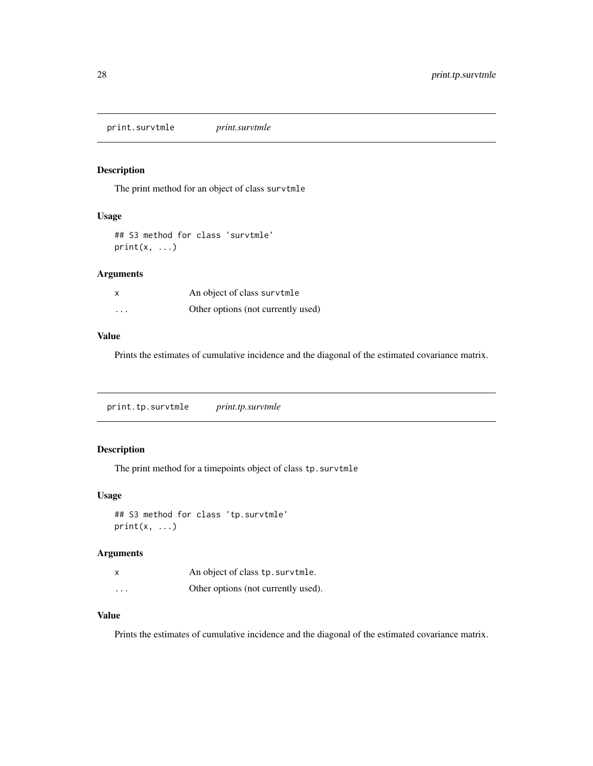<span id="page-27-0"></span>print.survtmle *print.survtmle*

#### Description

The print method for an object of class survtmle

#### Usage

```
## S3 method for class 'survtmle'
print(x, \ldots)
```
#### Arguments

| x                       | An object of class survtmle        |
|-------------------------|------------------------------------|
| $\cdot$ $\cdot$ $\cdot$ | Other options (not currently used) |

#### Value

Prints the estimates of cumulative incidence and the diagonal of the estimated covariance matrix.

print.tp.survtmle *print.tp.survtmle*

#### Description

The print method for a timepoints object of class tp.survtmle

#### Usage

```
## S3 method for class 'tp.survtmle'
print(x, \ldots)
```
#### Arguments

|          | An object of class tp. survtmle.    |
|----------|-------------------------------------|
| $\cdots$ | Other options (not currently used). |

#### Value

Prints the estimates of cumulative incidence and the diagonal of the estimated covariance matrix.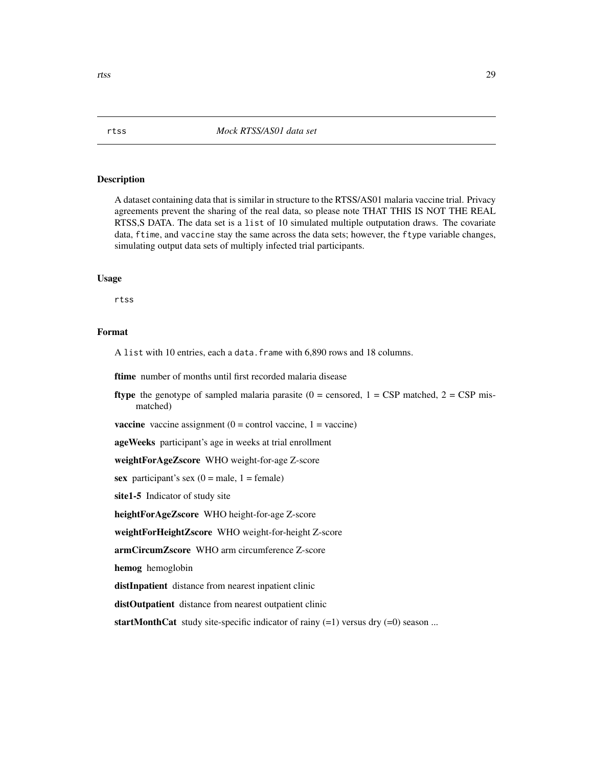#### Description

A dataset containing data that is similar in structure to the RTSS/AS01 malaria vaccine trial. Privacy agreements prevent the sharing of the real data, so please note THAT THIS IS NOT THE REAL RTSS,S DATA. The data set is a list of 10 simulated multiple outputation draws. The covariate data, ftime, and vaccine stay the same across the data sets; however, the ftype variable changes, simulating output data sets of multiply infected trial participants.

#### Usage

rtss

#### Format

A list with 10 entries, each a data.frame with 6,890 rows and 18 columns.

ftime number of months until first recorded malaria disease

**ftype** the genotype of sampled malaria parasite ( $0 =$  censored,  $1 =$  CSP matched,  $2 =$  CSP mismatched)

**vaccine** vaccine assignment  $(0 = \text{control vaccine}, 1 = \text{vaccine})$ 

ageWeeks participant's age in weeks at trial enrollment

weightForAgeZscore WHO weight-for-age Z-score

sex participant's sex  $(0 = male, 1 = female)$ 

site1-5 Indicator of study site

heightForAgeZscore WHO height-for-age Z-score

weightForHeightZscore WHO weight-for-height Z-score

armCircumZscore WHO arm circumference Z-score

hemog hemoglobin

distInpatient distance from nearest inpatient clinic

distOutpatient distance from nearest outpatient clinic

startMonthCat study site-specific indicator of rainy  $(=1)$  versus dry  $(=0)$  season ...

<span id="page-28-0"></span>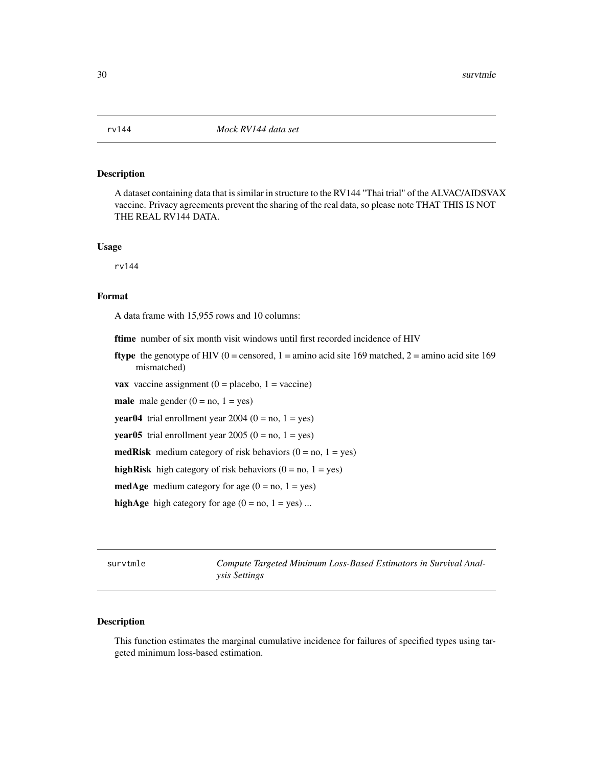<span id="page-29-0"></span>

#### Description

A dataset containing data that is similar in structure to the RV144 "Thai trial" of the ALVAC/AIDSVAX vaccine. Privacy agreements prevent the sharing of the real data, so please note THAT THIS IS NOT THE REAL RV144 DATA.

#### Usage

rv144

#### Format

A data frame with 15,955 rows and 10 columns:

ftime number of six month visit windows until first recorded incidence of HIV

**ftype** the genotype of HIV (0 = censored, 1 = amino acid site 169 matched, 2 = amino acid site 169 mismatched)

**vax** vaccine assignment  $(0 =$  placebo,  $1 =$  vaccine)

male male gender  $(0 = no, 1 = yes)$ 

**year04** trial enrollment year 2004 ( $0 = no$ ,  $1 = yes$ )

**year05** trial enrollment year 2005 ( $0 = no$ ,  $1 = yes$ )

**medRisk** medium category of risk behaviors  $(0 = no, 1 = yes)$ 

highRisk high category of risk behaviors  $(0 = no, 1 = yes)$ 

**medAge** medium category for age  $(0 = no, 1 = yes)$ 

highAge high category for age  $(0 = no, 1 = yes)$  ...

survtmle *Compute Targeted Minimum Loss-Based Estimators in Survival Analysis Settings*

#### Description

This function estimates the marginal cumulative incidence for failures of specified types using targeted minimum loss-based estimation.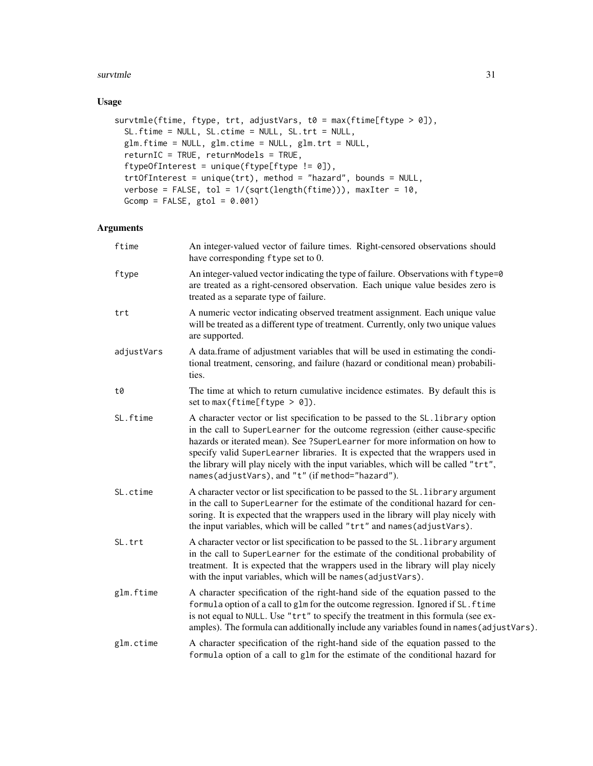#### survtmle 31

#### Usage

```
survtmle(ftime, ftype, trt, adjustVars, t0 = max(ftime[ftype > 0]),
  SL.ftime = NULL, SL.ctime = NULL, SL.trt = NULL,
 glm.ftime = NULL, glm.ctime = NULL, glm.trt = NULL,
 returnIC = TRUE, returnModels = TRUE,
  ftypeOfInterest = unique(ftype[ftype != 0]),
  trtOfInterest = unique(trt), method = "hazard", bounds = NULL,
  verbose = FALSE, tol = 1/(sqrt(length(ftime))), maxIter = 10,
 Gcomp = FALSE, getol = 0.001)
```

| ftime      | An integer-valued vector of failure times. Right-censored observations should<br>have corresponding ftype set to 0.                                                                                                                                                                                                                                                                                                                                                         |
|------------|-----------------------------------------------------------------------------------------------------------------------------------------------------------------------------------------------------------------------------------------------------------------------------------------------------------------------------------------------------------------------------------------------------------------------------------------------------------------------------|
| ftype      | An integer-valued vector indicating the type of failure. Observations with f type=0<br>are treated as a right-censored observation. Each unique value besides zero is<br>treated as a separate type of failure.                                                                                                                                                                                                                                                             |
| trt        | A numeric vector indicating observed treatment assignment. Each unique value<br>will be treated as a different type of treatment. Currently, only two unique values<br>are supported.                                                                                                                                                                                                                                                                                       |
| adjustVars | A data.frame of adjustment variables that will be used in estimating the condi-<br>tional treatment, censoring, and failure (hazard or conditional mean) probabili-<br>ties.                                                                                                                                                                                                                                                                                                |
| t0         | The time at which to return cumulative incidence estimates. By default this is<br>set to max (ftime[ftype $> 0$ ]).                                                                                                                                                                                                                                                                                                                                                         |
| SL.ftime   | A character vector or list specification to be passed to the SL. library option<br>in the call to SuperLearner for the outcome regression (either cause-specific<br>hazards or iterated mean). See ?SuperLearner for more information on how to<br>specify valid SuperLearner libraries. It is expected that the wrappers used in<br>the library will play nicely with the input variables, which will be called "trt",<br>names(adjustVars), and "t" (if method="hazard"). |
| SL.ctime   | A character vector or list specification to be passed to the SL. library argument<br>in the call to SuperLearner for the estimate of the conditional hazard for cen-<br>soring. It is expected that the wrappers used in the library will play nicely with<br>the input variables, which will be called "trt" and names (adjustVars).                                                                                                                                       |
| SL.trt     | A character vector or list specification to be passed to the SL. library argument<br>in the call to SuperLearner for the estimate of the conditional probability of<br>treatment. It is expected that the wrappers used in the library will play nicely<br>with the input variables, which will be names (adjustVars).                                                                                                                                                      |
| glm.ftime  | A character specification of the right-hand side of the equation passed to the<br>formula option of a call to glm for the outcome regression. Ignored if SL. ftime<br>is not equal to NULL. Use "trt" to specify the treatment in this formula (see ex-<br>amples). The formula can additionally include any variables found in names (adjustVars).                                                                                                                         |
| glm.ctime  | A character specification of the right-hand side of the equation passed to the<br>formula option of a call to glm for the estimate of the conditional hazard for                                                                                                                                                                                                                                                                                                            |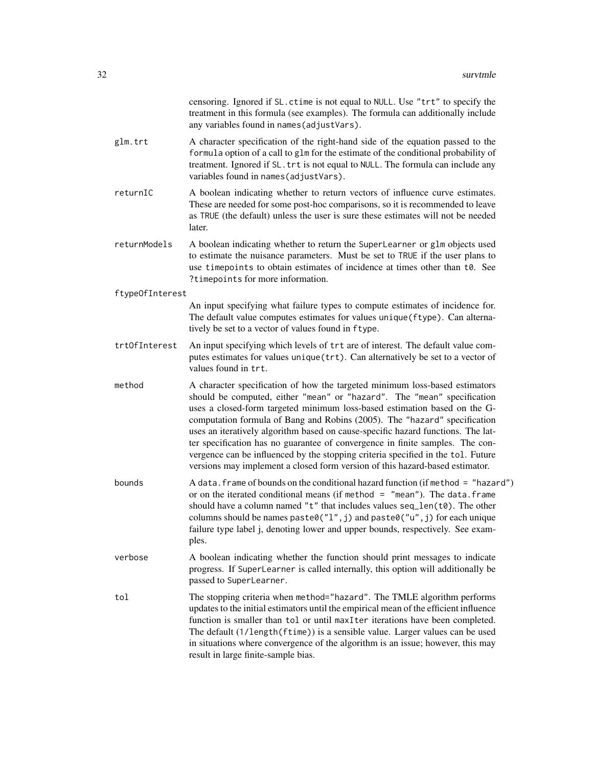|                 | censoring. Ignored if SL. ctime is not equal to NULL. Use "trt" to specify the<br>treatment in this formula (see examples). The formula can additionally include<br>any variables found in names (adjustVars).                                                                                                                                                                                                                                                                                                                                                                                                                                            |
|-----------------|-----------------------------------------------------------------------------------------------------------------------------------------------------------------------------------------------------------------------------------------------------------------------------------------------------------------------------------------------------------------------------------------------------------------------------------------------------------------------------------------------------------------------------------------------------------------------------------------------------------------------------------------------------------|
| glm.trt         | A character specification of the right-hand side of the equation passed to the<br>formula option of a call to glm for the estimate of the conditional probability of<br>treatment. Ignored if SL. trt is not equal to NULL. The formula can include any<br>variables found in names (adjustVars).                                                                                                                                                                                                                                                                                                                                                         |
| returnIC        | A boolean indicating whether to return vectors of influence curve estimates.<br>These are needed for some post-hoc comparisons, so it is recommended to leave<br>as TRUE (the default) unless the user is sure these estimates will not be needed<br>later.                                                                                                                                                                                                                                                                                                                                                                                               |
| returnModels    | A boolean indicating whether to return the SuperLearner or glm objects used<br>to estimate the nuisance parameters. Must be set to TRUE if the user plans to<br>use timepoints to obtain estimates of incidence at times other than t0. See<br>?timepoints for more information.                                                                                                                                                                                                                                                                                                                                                                          |
| ftype0fInterest |                                                                                                                                                                                                                                                                                                                                                                                                                                                                                                                                                                                                                                                           |
|                 | An input specifying what failure types to compute estimates of incidence for.<br>The default value computes estimates for values unique (ftype). Can alterna-<br>tively be set to a vector of values found in ftype.                                                                                                                                                                                                                                                                                                                                                                                                                                      |
| trt0fInterest   | An input specifying which levels of trt are of interest. The default value com-<br>putes estimates for values unique (trt). Can alternatively be set to a vector of<br>values found in trt.                                                                                                                                                                                                                                                                                                                                                                                                                                                               |
| method          | A character specification of how the targeted minimum loss-based estimators<br>should be computed, either "mean" or "hazard". The "mean" specification<br>uses a closed-form targeted minimum loss-based estimation based on the G-<br>computation formula of Bang and Robins (2005). The "hazard" specification<br>uses an iteratively algorithm based on cause-specific hazard functions. The lat-<br>ter specification has no guarantee of convergence in finite samples. The con-<br>vergence can be influenced by the stopping criteria specified in the tol. Future<br>versions may implement a closed form version of this hazard-based estimator. |
| bounds          | A data. frame of bounds on the conditional hazard function (if method = "hazard")<br>or on the iterated conditional means (if method $=$ "mean"). The data. frame<br>should have a column named "t" that includes values seq_len(t0). The other<br>columns should be names paste0( $"l", j$ ) and paste0( $"u", j$ ) for each unique<br>failure type label j, denoting lower and upper bounds, respectively. See exam-<br>ples.                                                                                                                                                                                                                           |
| verbose         | A boolean indicating whether the function should print messages to indicate<br>progress. If SuperLearner is called internally, this option will additionally be<br>passed to SuperLearner.                                                                                                                                                                                                                                                                                                                                                                                                                                                                |
| tol             | The stopping criteria when method="hazard". The TMLE algorithm performs<br>updates to the initial estimators until the empirical mean of the efficient influence<br>function is smaller than tol or until maxIter iterations have been completed.<br>The default (1/length(ftime)) is a sensible value. Larger values can be used<br>in situations where convergence of the algorithm is an issue; however, this may<br>result in large finite-sample bias.                                                                                                                                                                                               |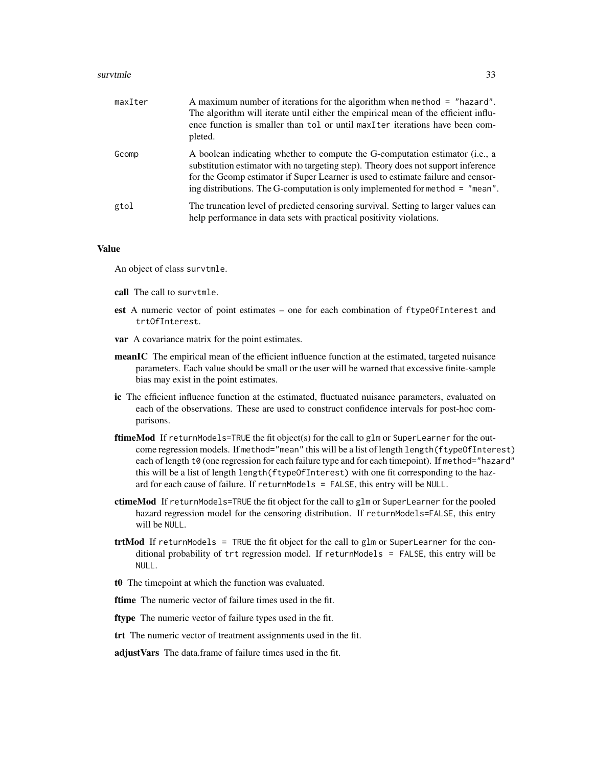#### survtmle 33

| maxIter | A maximum number of iterations for the algorithm when method $=$ "hazard".<br>The algorithm will iterate until either the empirical mean of the efficient influ-<br>ence function is smaller than tol or until maxIter iterations have been com-<br>pleted.                                                                              |
|---------|------------------------------------------------------------------------------------------------------------------------------------------------------------------------------------------------------------------------------------------------------------------------------------------------------------------------------------------|
| Gcomp   | A boolean indicating whether to compute the G-computation estimator (i.e., a<br>substitution estimator with no targeting step). Theory does not support inference<br>for the Gcomp estimator if Super Learner is used to estimate failure and censor-<br>ing distributions. The G-computation is only implemented for method $=$ "mean". |
| gtol    | The truncation level of predicted censoring survival. Setting to larger values can<br>help performance in data sets with practical positivity violations.                                                                                                                                                                                |

#### Value

An object of class survtmle.

- call The call to survtmle.
- est A numeric vector of point estimates one for each combination of ftypeOfInterest and trtOfInterest.
- var A covariance matrix for the point estimates.
- meanIC The empirical mean of the efficient influence function at the estimated, targeted nuisance parameters. Each value should be small or the user will be warned that excessive finite-sample bias may exist in the point estimates.
- ic The efficient influence function at the estimated, fluctuated nuisance parameters, evaluated on each of the observations. These are used to construct confidence intervals for post-hoc comparisons.
- ftimeMod If returnModels=TRUE the fit object(s) for the call to glm or SuperLearner for the outcome regression models. If method="mean" this will be a list of length length(ftypeOfInterest) each of length t0 (one regression for each failure type and for each timepoint). If method="hazard" this will be a list of length length(ftypeOfInterest) with one fit corresponding to the hazard for each cause of failure. If returnModels = FALSE, this entry will be NULL.
- ctimeMod If returnModels=TRUE the fit object for the call to glm or SuperLearner for the pooled hazard regression model for the censoring distribution. If returnModels=FALSE, this entry will be NULL.
- $trtMod$  If returnModels = TRUE the fit object for the call to glm or SuperLearner for the conditional probability of trt regression model. If returnModels = FALSE, this entry will be NULL.
- t0 The timepoint at which the function was evaluated.

ftime The numeric vector of failure times used in the fit.

ftype The numeric vector of failure types used in the fit.

trt The numeric vector of treatment assignments used in the fit.

adjustVars The data.frame of failure times used in the fit.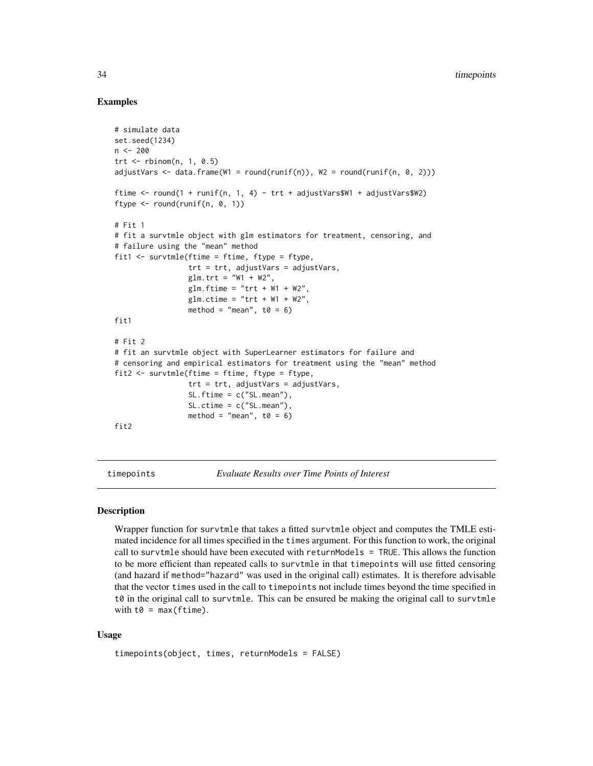#### Examples

```
# simulate data
set.seed(1234)
n < -200trt \leq- rbinom(n, 1, 0.5)adjustVars \leq data.frame(W1 = round(runif(n)), W2 = round(runif(n, 0, 2)))
ftime <- round(1 + runif(n, 1, 4) - trt + adjustVars$W1 + adjustVars$W2)
ftype \le round(runif(n, 0, 1))
# Fit 1
# fit a survtmle object with glm estimators for treatment, censoring, and
# failure using the "mean" method
fit1 <- survtmle(ftime = ftime, ftype = ftype,
                 trt = trt, adjustVars = adjustVars,
                 glm.trt = "W1 + W2",
                 glm.ftime = "trt + W1 + W2".glm.ctime = "trt + W1 + W2",method = "mean", t\theta = 6)
fit1
# Fit 2
# fit an survtmle object with SuperLearner estimators for failure and
# censoring and empirical estimators for treatment using the "mean" method
fit2 <- survtmle(ftime = ftime, ftype = ftype,
                 trt = trt, adjustVars = adjustVars,
                 SL.ftime = c("SL.mean"),
                 SL.ctime = c("SL.mean"),method = "mean", t0 = 6)
fit2
```
timepoints *Evaluate Results over Time Points of Interest*

#### **Description**

Wrapper function for survtmle that takes a fitted survtmle object and computes the TMLE estimated incidence for all times specified in the times argument. For this function to work, the original call to survtmle should have been executed with returnModels = TRUE. This allows the function to be more efficient than repeated calls to survtmle in that timepoints will use fitted censoring (and hazard if method="hazard" was used in the original call) estimates. It is therefore advisable that the vector times used in the call to timepoints not include times beyond the time specified in  $t\theta$  in the original call to survtmle. This can be ensured be making the original call to survtmle with  $t0 = max(ftime)$ .

#### Usage

```
timepoints(object, times, returnModels = FALSE)
```
<span id="page-33-0"></span>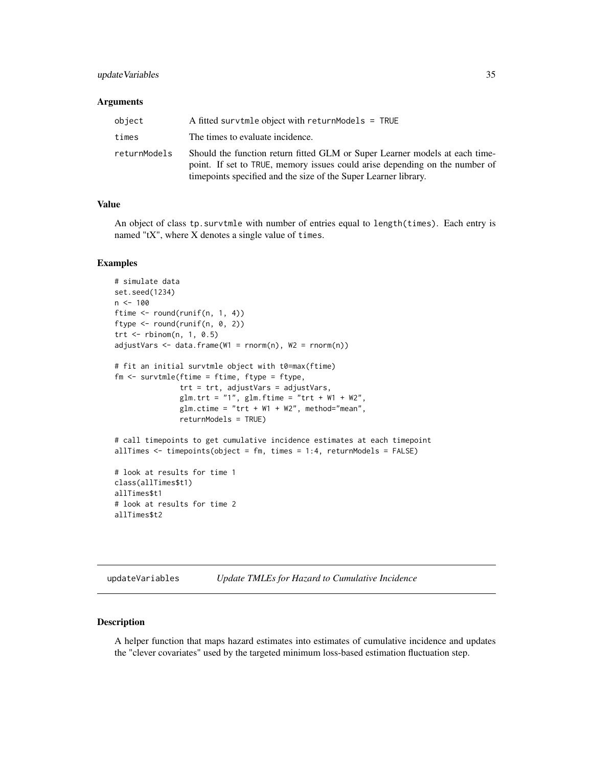#### <span id="page-34-0"></span>update Variables 35

#### **Arguments**

| object       | A fitted survtmle object with returnModels = $TRUE$                                                                                                                                                                            |
|--------------|--------------------------------------------------------------------------------------------------------------------------------------------------------------------------------------------------------------------------------|
| times        | The times to evaluate incidence.                                                                                                                                                                                               |
| returnModels | Should the function return fitted GLM or Super Learner models at each time-<br>point. If set to TRUE, memory issues could arise depending on the number of<br>time points specified and the size of the Super Learner library. |

#### Value

An object of class tp.survtmle with number of entries equal to length(times). Each entry is named "tX", where X denotes a single value of times.

#### Examples

```
# simulate data
set.seed(1234)
n < -100ftime <- round(runif(n, 1, 4))
ftype \le round(runif(n, 0, 2))
trt <- rbinom(n, 1, 0.5)
adjustVars \leq data.frame(W1 = rnorm(n), W2 = rnorm(n))
# fit an initial survtmle object with t0=max(ftime)
fm <- survtmle(ftime = ftime, ftype = ftype,
               trt = trt, adjustVars = adjustVars,
               glm.trt = "1", glm.ftime = "trt + W1 + W2",
               glm.ctime = "trt + W1 + W2", method="mean",returnModels = TRUE)
# call timepoints to get cumulative incidence estimates at each timepoint
allTimes \le timepoints(object = fm, times = 1:4, returnModels = FALSE)
# look at results for time 1
class(allTimes$t1)
allTimes$t1
# look at results for time 2
allTimes$t2
```
updateVariables *Update TMLEs for Hazard to Cumulative Incidence*

#### Description

A helper function that maps hazard estimates into estimates of cumulative incidence and updates the "clever covariates" used by the targeted minimum loss-based estimation fluctuation step.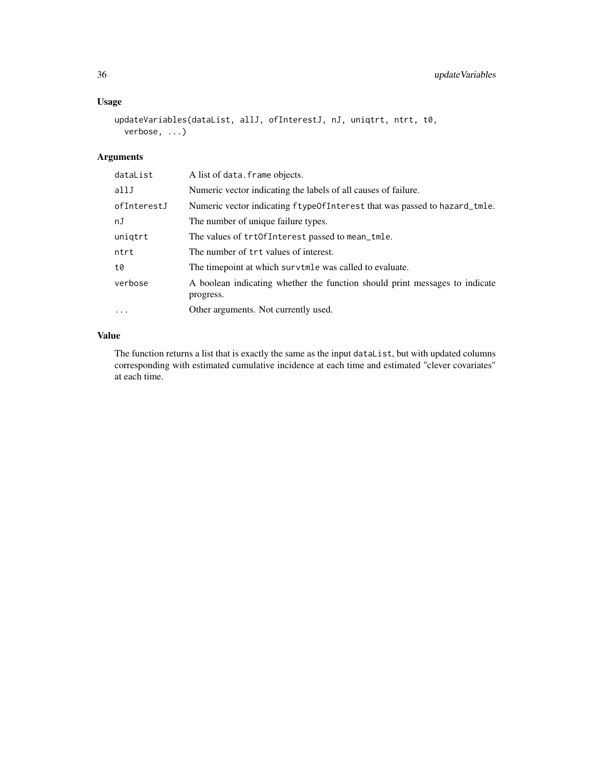#### Usage

```
updateVariables(dataList, allJ, ofInterestJ, nJ, uniqtrt, ntrt, t0,
 verbose, ...)
```
#### Arguments

| dataList    | A list of data. frame objects.                                                           |
|-------------|------------------------------------------------------------------------------------------|
| allJ        | Numeric vector indicating the labels of all causes of failure.                           |
| ofInterestJ | Numeric vector indicating ftypeOfInterest that was passed to hazard_tmle.                |
| nJ          | The number of unique failure types.                                                      |
| uniqtrt     | The values of trtOfInterest passed to mean_tmle.                                         |
| ntrt        | The number of trt values of interest.                                                    |
| t0          | The timepoint at which survtmle was called to evaluate.                                  |
| verbose     | A boolean indicating whether the function should print messages to indicate<br>progress. |
| $\cdots$    | Other arguments. Not currently used.                                                     |

#### Value

The function returns a list that is exactly the same as the input dataList, but with updated columns corresponding with estimated cumulative incidence at each time and estimated "clever covariates" at each time.